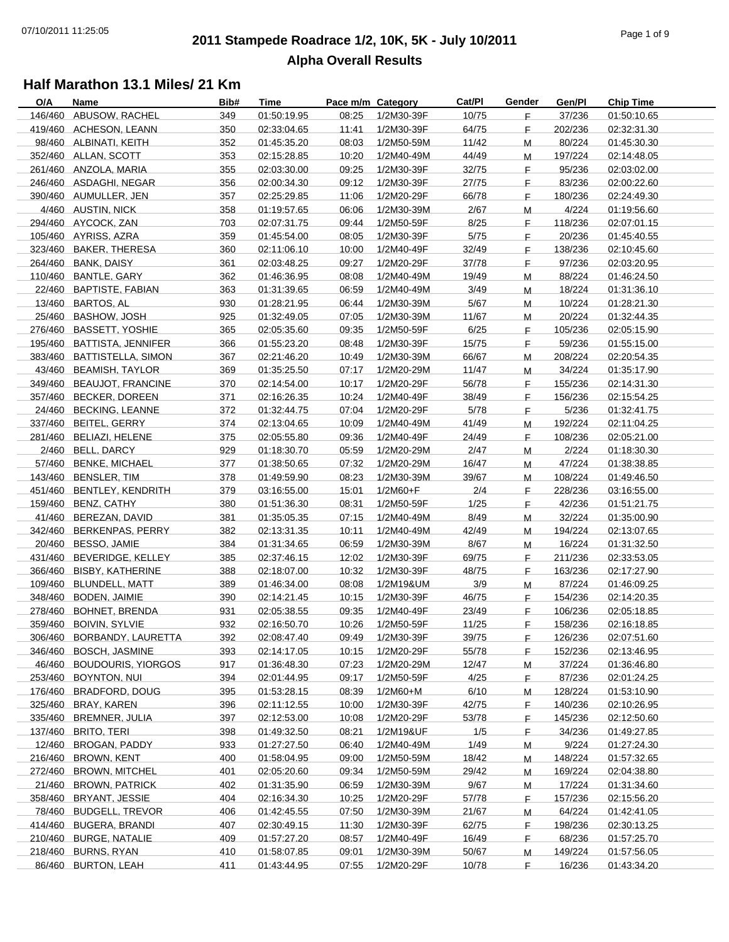# **2011 Stampede Roadrace 1/2, 10K, 5K - July 10/2011** 07/10/2011 11:25:05 Page 1 of 9 **Alpha Overall Results**

| O/A     | Name                       | Bib# | Time        | Pace m/m Category |            | Cat/Pl | Gender | Gen/Pl  | <b>Chip Time</b> |
|---------|----------------------------|------|-------------|-------------------|------------|--------|--------|---------|------------------|
| 146/460 | ABUSOW, RACHEL             | 349  | 01:50:19.95 | 08:25             | 1/2M30-39F | 10/75  | F.     | 37/236  | 01:50:10.65      |
|         | 419/460 ACHESON, LEANN     | 350  | 02:33:04.65 | 11:41             | 1/2M30-39F | 64/75  | F.     | 202/236 | 02:32:31.30      |
|         | 98/460 ALBINATI, KEITH     | 352  | 01:45:35.20 | 08:03             | 1/2M50-59M | 11/42  | M      | 80/224  | 01:45:30.30      |
|         | 352/460 ALLAN, SCOTT       | 353  | 02:15:28.85 | 10:20             | 1/2M40-49M | 44/49  | М      | 197/224 | 02:14:48.05      |
|         | 261/460 ANZOLA, MARIA      | 355  | 02:03:30.00 | 09:25             | 1/2M30-39F | 32/75  | E      | 95/236  | 02:03:02.00      |
|         | 246/460 ASDAGHI, NEGAR     | 356  | 02:00:34.30 | 09:12             | 1/2M30-39F | 27/75  | F      | 83/236  | 02:00:22.60      |
|         | 390/460 AUMULLER, JEN      | 357  | 02:25:29.85 | 11:06             | 1/2M20-29F | 66/78  | F.     | 180/236 | 02:24:49.30      |
|         | 4/460 AUSTIN, NICK         | 358  | 01:19:57.65 | 06:06             | 1/2M30-39M | 2/67   |        | 4/224   | 01:19:56.60      |
|         | 294/460 AYCOCK, ZAN        |      |             |                   |            |        | м      |         |                  |
|         |                            | 703  | 02:07:31.75 | 09:44             | 1/2M50-59F | 8/25   | F.     | 118/236 | 02:07:01.15      |
|         | 105/460 AYRISS, AZRA       | 359  | 01:45:54.00 | 08:05             | 1/2M30-39F | 5/75   | F.     | 20/236  | 01:45:40.55      |
|         | 323/460 BAKER, THERESA     | 360  | 02:11:06.10 | 10:00             | 1/2M40-49F | 32/49  | E      | 138/236 | 02:10:45.60      |
|         | 264/460 BANK, DAISY        | 361  | 02:03:48.25 | 09:27             | 1/2M20-29F | 37/78  | F      | 97/236  | 02:03:20.95      |
|         | 110/460 BANTLE, GARY       | 362  | 01:46:36.95 | 08:08             | 1/2M40-49M | 19/49  | M      | 88/224  | 01:46:24.50      |
|         | 22/460 BAPTISTE, FABIAN    | 363  | 01:31:39.65 | 06:59             | 1/2M40-49M | 3/49   | M      | 18/224  | 01:31:36.10      |
|         | 13/460 BARTOS, AL          | 930  | 01:28:21.95 | 06:44             | 1/2M30-39M | 5/67   | M      | 10/224  | 01:28:21.30      |
| 25/460  | <b>BASHOW, JOSH</b>        | 925  | 01:32:49.05 | 07:05             | 1/2M30-39M | 11/67  | M      | 20/224  | 01:32:44.35      |
|         | 276/460 BASSETT, YOSHIE    | 365  | 02:05:35.60 | 09:35             | 1/2M50-59F | 6/25   | F.     | 105/236 | 02:05:15.90      |
|         | 195/460 BATTISTA, JENNIFER | 366  | 01:55:23.20 | 08:48             | 1/2M30-39F | 15/75  | F.     | 59/236  | 01:55:15.00      |
|         | 383/460 BATTISTELLA, SIMON | 367  | 02:21:46.20 | 10:49             | 1/2M30-39M | 66/67  | М      | 208/224 | 02:20:54.35      |
|         | 43/460 BEAMISH, TAYLOR     | 369  | 01:35:25.50 | 07:17             | 1/2M20-29M | 11/47  | М      | 34/224  | 01:35:17.90      |
|         | 349/460 BEAUJOT, FRANCINE  | 370  | 02:14:54.00 | 10:17             | 1/2M20-29F | 56/78  | F.     | 155/236 | 02:14:31.30      |
|         | 357/460 BECKER, DOREEN     | 371  | 02:16:26.35 | 10:24             | 1/2M40-49F | 38/49  | F.     | 156/236 | 02:15:54.25      |
|         | 24/460 BECKING, LEANNE     | 372  | 01:32:44.75 | 07:04             | 1/2M20-29F | 5/78   | F.     | 5/236   | 01:32:41.75      |
|         | 337/460 BEITEL, GERRY      | 374  | 02:13:04.65 | 10:09             | 1/2M40-49M | 41/49  | м      | 192/224 | 02:11:04.25      |
|         | 281/460 BELIAZI, HELENE    | 375  | 02:05:55.80 | 09:36             | 1/2M40-49F | 24/49  | F.     | 108/236 | 02:05:21.00      |
|         |                            |      |             |                   |            |        |        |         |                  |
|         | 2/460 BELL, DARCY          | 929  | 01:18:30.70 | 05:59             | 1/2M20-29M | 2/47   | M      | 2/224   | 01:18:30.30      |
|         | 57/460 BENKE, MICHAEL      | 377  | 01:38:50.65 | 07:32             | 1/2M20-29M | 16/47  | м      | 47/224  | 01:38:38.85      |
|         | 143/460 BENSLER, TIM       | 378  | 01:49:59.90 | 08:23             | 1/2M30-39M | 39/67  | М      | 108/224 | 01:49:46.50      |
|         | 451/460 BENTLEY, KENDRITH  | 379  | 03:16:55.00 | 15:01             | 1/2M60+F   | 2/4    | F.     | 228/236 | 03:16:55.00      |
|         | 159/460 BENZ, CATHY        | 380  | 01:51:36.30 | 08:31             | 1/2M50-59F | 1/25   | F      | 42/236  | 01:51:21.75      |
|         | 41/460 BEREZAN, DAVID      | 381  | 01:35:05.35 | 07:15             | 1/2M40-49M | 8/49   | M      | 32/224  | 01:35:00.90      |
|         | 342/460 BERKENPAS, PERRY   | 382  | 02:13:31.35 | 10:11             | 1/2M40-49M | 42/49  | м      | 194/224 | 02:13:07.65      |
|         | 20/460 BESSO, JAMIE        | 384  | 01:31:34.65 | 06:59             | 1/2M30-39M | 8/67   | M      | 16/224  | 01:31:32.50      |
|         | 431/460 BEVERIDGE, KELLEY  | 385  | 02:37:46.15 | 12:02             | 1/2M30-39F | 69/75  | F      | 211/236 | 02:33:53.05      |
|         | 366/460 BISBY, KATHERINE   | 388  | 02:18:07.00 | 10:32             | 1/2M30-39F | 48/75  | E      | 163/236 | 02:17:27.90      |
|         | 109/460 BLUNDELL, MATT     | 389  | 01:46:34.00 | 08:08             | 1/2M19&UM  | 3/9    | М      | 87/224  | 01:46:09.25      |
|         | 348/460 BODEN, JAIMIE      | 390  | 02:14:21.45 | 10:15             | 1/2M30-39F | 46/75  | E      | 154/236 | 02:14:20.35      |
|         | 278/460 BOHNET, BRENDA     | 931  | 02:05:38.55 | 09:35             | 1/2M40-49F | 23/49  | E      | 106/236 | 02:05:18.85      |
|         | 359/460 BOIVIN, SYLVIE     | 932  | 02:16:50.70 | 10:26             | 1/2M50-59F | 11/25  | F.     | 158/236 | 02:16:18.85      |
|         | 306/460 BORBANDY, LAURETTA | 392  | 02:08:47.40 | 09:49             | 1/2M30-39F | 39/75  | F      | 126/236 | 02:07:51.60      |
|         | 346/460 BOSCH, JASMINE     | 393  | 02:14:17.05 | 10:15             | 1/2M20-29F | 55/78  | F.     | 152/236 | 02:13:46.95      |
|         | 46/460 BOUDOURIS, YIORGOS  | 917  | 01:36:48.30 | 07:23             | 1/2M20-29M | 12/47  | м      | 37/224  | 01:36:46.80      |
| 253/460 | <b>BOYNTON, NUI</b>        | 394  | 02:01:44.95 | 09:17             | 1/2M50-59F | 4/25   | F      | 87/236  | 02:01:24.25      |
| 176/460 | <b>BRADFORD, DOUG</b>      | 395  | 01:53:28.15 | 08:39             | 1/2M60+M   | 6/10   |        | 128/224 | 01:53:10.90      |
|         | 325/460 BRAY, KAREN        |      |             |                   | 1/2M30-39F | 42/75  | М      | 140/236 |                  |
|         |                            | 396  | 02:11:12.55 | 10:00             |            |        | F      |         | 02:10:26.95      |
|         | 335/460 BREMNER, JULIA     | 397  | 02:12:53.00 | 10:08             | 1/2M20-29F | 53/78  | F      | 145/236 | 02:12:50.60      |
| 137/460 | BRITO, TERI                | 398  | 01:49:32.50 | 08:21             | 1/2M19&UF  | 1/5    | F      | 34/236  | 01:49:27.85      |
| 12/460  | <b>BROGAN, PADDY</b>       | 933  | 01:27:27.50 | 06:40             | 1/2M40-49M | 1/49   | M      | 9/224   | 01:27:24.30      |
|         | 216/460 BROWN, KENT        | 400  | 01:58:04.95 | 09:00             | 1/2M50-59M | 18/42  | М      | 148/224 | 01:57:32.65      |
|         | 272/460 BROWN, MITCHEL     | 401  | 02:05:20.60 | 09:34             | 1/2M50-59M | 29/42  | M      | 169/224 | 02:04:38.80      |
|         | 21/460 BROWN, PATRICK      | 402  | 01:31:35.90 | 06:59             | 1/2M30-39M | 9/67   | м      | 17/224  | 01:31:34.60      |
| 358/460 | BRYANT, JESSIE             | 404  | 02:16:34.30 | 10:25             | 1/2M20-29F | 57/78  | F.     | 157/236 | 02:15:56.20      |
|         | 78/460 BUDGELL, TREVOR     | 406  | 01:42:45.55 | 07:50             | 1/2M30-39M | 21/67  | M      | 64/224  | 01:42:41.05      |
|         | 414/460 BUGERA, BRANDI     | 407  | 02:30:49.15 | 11:30             | 1/2M30-39F | 62/75  | F      | 198/236 | 02:30:13.25      |
|         | 210/460 BURGE, NATALIE     | 409  | 01:57:27.20 | 08:57             | 1/2M40-49F | 16/49  | F      | 68/236  | 01:57:25.70      |
|         | 218/460 BURNS, RYAN        | 410  | 01:58:07.85 | 09:01             | 1/2M30-39M | 50/67  | M      | 149/224 | 01:57:56.05      |
|         | 86/460 BURTON, LEAH        | 411  | 01:43:44.95 | 07:55             | 1/2M20-29F | 10/78  | F.     | 16/236  | 01:43:34.20      |
|         |                            |      |             |                   |            |        |        |         |                  |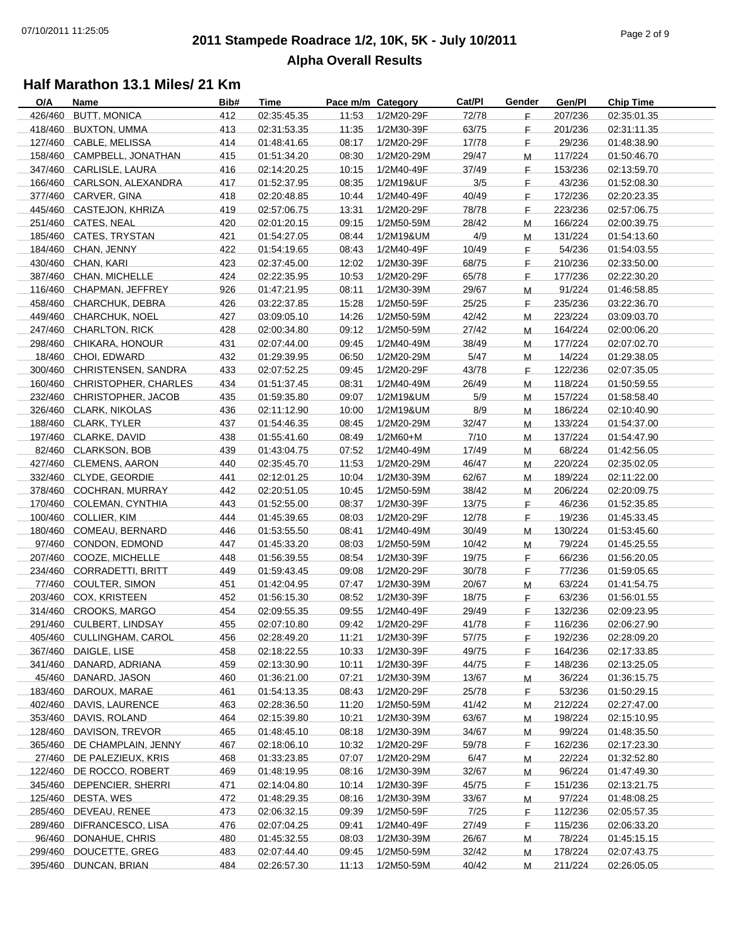# **2011 Stampede Roadrace 1/2, 10K, 5K - July 10/2011** 07/10/2011 11:25:05 Page 2 of 9 **Alpha Overall Results**

| O/A     | <b>Name</b>                  | Bib# | Time        | Pace m/m Category |            | Cat/PI | Gender | Gen/Pl  | <b>Chip Time</b> |
|---------|------------------------------|------|-------------|-------------------|------------|--------|--------|---------|------------------|
| 426/460 | <b>BUTT, MONICA</b>          | 412  | 02:35:45.35 | 11:53             | 1/2M20-29F | 72/78  | E      | 207/236 | 02:35:01.35      |
|         | 418/460 BUXTON, UMMA         | 413  | 02:31:53.35 | 11:35             | 1/2M30-39F | 63/75  | E      | 201/236 | 02:31:11.35      |
|         | 127/460 CABLE, MELISSA       | 414  | 01:48:41.65 | 08:17             | 1/2M20-29F | 17/78  | F.     | 29/236  | 01:48:38.90      |
| 158/460 | CAMPBELL, JONATHAN           | 415  | 01:51:34.20 | 08:30             | 1/2M20-29M | 29/47  | M      | 117/224 | 01:50:46.70      |
|         | 347/460 CARLISLE, LAURA      | 416  | 02:14:20.25 | 10:15             | 1/2M40-49F | 37/49  | E      | 153/236 | 02:13:59.70      |
|         | 166/460 CARLSON, ALEXANDRA   | 417  | 01:52:37.95 | 08:35             | 1/2M19&UF  | 3/5    | F.     | 43/236  | 01:52:08.30      |
|         | 377/460 CARVER, GINA         | 418  | 02:20:48.85 | 10:44             | 1/2M40-49F | 40/49  | F.     | 172/236 | 02:20:23.35      |
| 445/460 | CASTEJON, KHRIZA             | 419  | 02:57:06.75 | 13:31             | 1/2M20-29F | 78/78  | E      | 223/236 | 02:57:06.75      |
|         | 251/460 CATES, NEAL          | 420  | 02:01:20.15 | 09:15             | 1/2M50-59M | 28/42  | M      | 166/224 | 02:00:39.75      |
|         | 185/460 CATES, TRYSTAN       | 421  | 01:54:27.05 | 08:44             | 1/2M19&UM  | 4/9    | M      | 131/224 | 01:54:13.60      |
|         | 184/460 CHAN, JENNY          | 422  | 01:54:19.65 | 08:43             | 1/2M40-49F | 10/49  | E      | 54/236  | 01:54:03.55      |
| 430/460 | CHAN, KARI                   | 423  | 02:37:45.00 | 12:02             | 1/2M30-39F | 68/75  | E      | 210/236 | 02:33:50.00      |
|         | 387/460 CHAN, MICHELLE       | 424  | 02:22:35.95 | 10:53             | 1/2M20-29F | 65/78  | F.     | 177/236 | 02:22:30.20      |
|         |                              |      |             |                   |            |        |        |         |                  |
|         | 116/460 CHAPMAN, JEFFREY     | 926  | 01:47:21.95 | 08:11             | 1/2M30-39M | 29/67  | M      | 91/224  | 01:46:58.85      |
|         | 458/460 CHARCHUK, DEBRA      | 426  | 03:22:37.85 | 15:28             | 1/2M50-59F | 25/25  | F.     | 235/236 | 03:22:36.70      |
| 449/460 | <b>CHARCHUK, NOEL</b>        | 427  | 03:09:05.10 | 14:26             | 1/2M50-59M | 42/42  | M      | 223/224 | 03:09:03.70      |
|         | 247/460 CHARLTON, RICK       | 428  | 02:00:34.80 | 09:12             | 1/2M50-59M | 27/42  | M      | 164/224 | 02:00:06.20      |
|         | 298/460 CHIKARA, HONOUR      | 431  | 02:07:44.00 | 09:45             | 1/2M40-49M | 38/49  | M      | 177/224 | 02:07:02.70      |
|         | 18/460 CHOI, EDWARD          | 432  | 01:29:39.95 | 06:50             | 1/2M20-29M | 5/47   | M      | 14/224  | 01:29:38.05      |
| 300/460 | CHRISTENSEN, SANDRA          | 433  | 02:07:52.25 | 09:45             | 1/2M20-29F | 43/78  | F.     | 122/236 | 02:07:35.05      |
|         | 160/460 CHRISTOPHER, CHARLES | 434  | 01:51:37.45 | 08:31             | 1/2M40-49M | 26/49  | M      | 118/224 | 01:50:59.55      |
|         | 232/460 CHRISTOPHER, JACOB   | 435  | 01:59:35.80 | 09:07             | 1/2M19&UM  | 5/9    | м      | 157/224 | 01:58:58.40      |
|         | 326/460 CLARK, NIKOLAS       | 436  | 02:11:12.90 | 10:00             | 1/2M19&UM  | 8/9    | M      | 186/224 | 02:10:40.90      |
| 188/460 | <b>CLARK, TYLER</b>          | 437  | 01:54:46.35 | 08:45             | 1/2M20-29M | 32/47  | M      | 133/224 | 01:54:37.00      |
|         | 197/460 CLARKE, DAVID        | 438  | 01:55:41.60 | 08:49             | $1/2M60+M$ | 7/10   | M      | 137/224 | 01:54:47.90      |
|         | 82/460 CLARKSON, BOB         | 439  | 01:43:04.75 | 07:52             | 1/2M40-49M | 17/49  | M      | 68/224  | 01:42:56.05      |
|         | 427/460 CLEMENS, AARON       | 440  | 02:35:45.70 | 11:53             | 1/2M20-29M | 46/47  | M      | 220/224 | 02:35:02.05      |
|         | 332/460 CLYDE, GEORDIE       | 441  | 02:12:01.25 | 10:04             | 1/2M30-39M | 62/67  | M      | 189/224 | 02:11:22.00      |
|         | 378/460 COCHRAN, MURRAY      | 442  | 02:20:51.05 | 10:45             | 1/2M50-59M | 38/42  | M      | 206/224 | 02:20:09.75      |
|         | 170/460 COLEMAN, CYNTHIA     | 443  | 01:52:55.00 | 08:37             | 1/2M30-39F | 13/75  | F.     | 46/236  | 01:52:35.85      |
|         | 100/460 COLLIER, KIM         | 444  | 01:45:39.65 | 08:03             | 1/2M20-29F | 12/78  | F.     | 19/236  | 01:45:33.45      |
| 180/460 | <b>COMEAU, BERNARD</b>       | 446  | 01:53:55.50 | 08:41             | 1/2M40-49M | 30/49  | M      | 130/224 | 01:53:45.60      |
|         | 97/460 CONDON, EDMOND        | 447  | 01:45:33.20 | 08:03             | 1/2M50-59M | 10/42  |        | 79/224  |                  |
|         |                              |      |             |                   |            |        | M      |         | 01:45:25.55      |
|         | 207/460 COOZE, MICHELLE      | 448  | 01:56:39.55 | 08:54             | 1/2M30-39F | 19/75  | E      | 66/236  | 01:56:20.05      |
|         | 234/460 CORRADETTI, BRITT    | 449  | 01:59:43.45 | 09:08             | 1/2M20-29F | 30/78  | F.     | 77/236  | 01:59:05.65      |
| 77/460  | <b>COULTER, SIMON</b>        | 451  | 01:42:04.95 | 07:47             | 1/2M30-39M | 20/67  | M      | 63/224  | 01:41:54.75      |
|         | 203/460 COX, KRISTEEN        | 452  | 01:56:15.30 | 08:52             | 1/2M30-39F | 18/75  | E      | 63/236  | 01:56:01.55      |
|         | 314/460 CROOKS, MARGO        | 454  | 02:09:55.35 | 09:55             | 1/2M40-49F | 29/49  | E      | 132/236 | 02:09:23.95      |
|         | 291/460 CULBERT, LINDSAY     | 455  | 02:07:10.80 | 09:42             | 1/2M20-29F | 41/78  | F      | 116/236 | 02:06:27.90      |
|         | 405/460 CULLINGHAM, CAROL    | 456  | 02:28:49.20 | 11:21             | 1/2M30-39F | 57/75  | F      | 192/236 | 02:28:09.20      |
|         | 367/460 DAIGLE, LISE         | 458  | 02:18:22.55 | 10:33             | 1/2M30-39F | 49/75  | E      | 164/236 | 02:17:33.85      |
|         | 341/460 DANARD, ADRIANA      | 459  | 02:13:30.90 | 10:11             | 1/2M30-39F | 44/75  | F      | 148/236 | 02:13:25.05      |
|         | 45/460 DANARD, JASON         | 460  | 01:36:21.00 | 07:21             | 1/2M30-39M | 13/67  | M      | 36/224  | 01:36:15.75      |
| 183/460 | DAROUX, MARAE                | 461  | 01:54:13.35 | 08:43             | 1/2M20-29F | 25/78  | F.     | 53/236  | 01:50:29.15      |
|         | 402/460 DAVIS, LAURENCE      | 463  | 02:28:36.50 | 11:20             | 1/2M50-59M | 41/42  | M      | 212/224 | 02:27:47.00      |
|         | 353/460 DAVIS, ROLAND        | 464  | 02:15:39.80 | 10:21             | 1/2M30-39M | 63/67  | м      | 198/224 | 02:15:10.95      |
|         | 128/460 DAVISON, TREVOR      | 465  | 01:48:45.10 | 08:18             | 1/2M30-39M | 34/67  | M      | 99/224  | 01:48:35.50      |
| 365/460 | DE CHAMPLAIN, JENNY          | 467  | 02:18:06.10 | 10:32             | 1/2M20-29F | 59/78  | F      | 162/236 | 02:17:23.30      |
|         | 27/460 DE PALEZIEUX, KRIS    | 468  | 01:33:23.85 | 07:07             | 1/2M20-29M | 6/47   | M      | 22/224  | 01:32:52.80      |
| 122/460 | DE ROCCO, ROBERT             | 469  | 01:48:19.95 | 08:16             | 1/2M30-39M | 32/67  | M      | 96/224  | 01:47:49.30      |
| 345/460 | DEPENCIER, SHERRI            | 471  | 02:14:04.80 | 10:14             | 1/2M30-39F | 45/75  | F.     | 151/236 | 02:13:21.75      |
| 125/460 | DESTA, WES                   | 472  | 01:48:29.35 | 08:16             | 1/2M30-39M | 33/67  |        | 97/224  | 01:48:08.25      |
|         | 285/460 DEVEAU, RENEE        |      |             |                   |            |        | M      |         |                  |
|         |                              | 473  | 02:06:32.15 | 09:39             | 1/2M50-59F | 7/25   | F.     | 112/236 | 02:05:57.35      |
|         | 289/460 DIFRANCESCO, LISA    | 476  | 02:07:04.25 | 09:41             | 1/2M40-49F | 27/49  | F      | 115/236 | 02:06:33.20      |
| 96/460  | DONAHUE, CHRIS               | 480  | 01:45:32.55 | 08:03             | 1/2M30-39M | 26/67  | M      | 78/224  | 01:45:15.15      |
| 299/460 | DOUCETTE, GREG               | 483  | 02:07:44.40 | 09:45             | 1/2M50-59M | 32/42  | M      | 178/224 | 02:07:43.75      |
|         | 395/460 DUNCAN, BRIAN        | 484  | 02:26:57.30 | 11:13             | 1/2M50-59M | 40/42  | M      | 211/224 | 02:26:05.05      |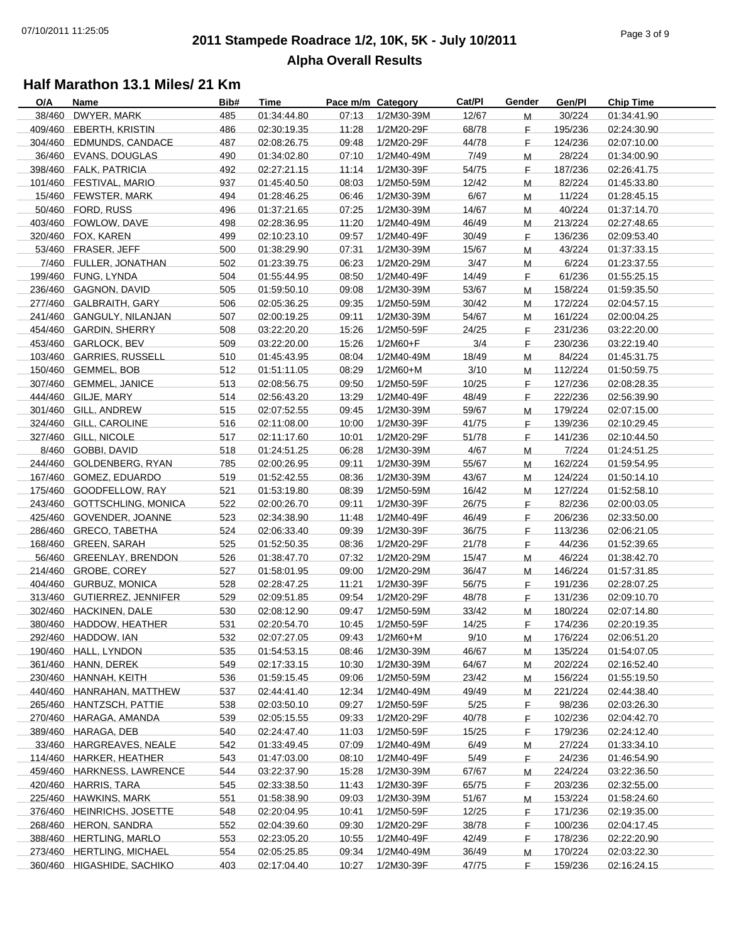# **2011 Stampede Roadrace 1/2, 10K, 5K - July 10/2011** 07/10/2011 11:25:05 Page 3 of 9 **Alpha Overall Results**

| O/A    | Name                        | Bib# | Time        | Pace m/m Category |              | Cat/Pl | Gender | Gen/Pl  | <b>Chip Time</b> |
|--------|-----------------------------|------|-------------|-------------------|--------------|--------|--------|---------|------------------|
| 38/460 | DWYER, MARK                 | 485  | 01:34:44.80 | 07:13             | 1/2M30-39M   | 12/67  | M      | 30/224  | 01:34:41.90      |
|        | 409/460 EBERTH, KRISTIN     | 486  | 02:30:19.35 | 11:28             | 1/2M20-29F   | 68/78  | F.     | 195/236 | 02:24:30.90      |
|        | 304/460 EDMUNDS, CANDACE    | 487  | 02:08:26.75 | 09:48             | 1/2M20-29F   | 44/78  | F.     | 124/236 | 02:07:10.00      |
|        | 36/460 EVANS, DOUGLAS       | 490  | 01:34:02.80 | 07:10             | 1/2M40-49M   | 7/49   | M      | 28/224  | 01:34:00.90      |
|        | 398/460 FALK, PATRICIA      | 492  | 02:27:21.15 | 11:14             | 1/2M30-39F   | 54/75  | F.     | 187/236 | 02:26:41.75      |
|        | 101/460 FESTIVAL, MARIO     | 937  | 01:45:40.50 | 08:03             | 1/2M50-59M   | 12/42  | M      | 82/224  | 01:45:33.80      |
|        | 15/460 FEWSTER, MARK        | 494  | 01:28:46.25 | 06:46             | 1/2M30-39M   | 6/67   | M      | 11/224  | 01:28:45.15      |
|        | 50/460 FORD, RUSS           | 496  | 01:37:21.65 | 07:25             | 1/2M30-39M   | 14/67  |        | 40/224  | 01:37:14.70      |
|        |                             |      |             |                   |              |        | М      |         |                  |
|        | 403/460 FOWLOW, DAVE        | 498  | 02:28:36.95 | 11:20             | 1/2M40-49M   | 46/49  | м      | 213/224 | 02:27:48.65      |
|        | 320/460 FOX, KAREN          | 499  | 02:10:23.10 | 09:57             | 1/2M40-49F   | 30/49  | F.     | 136/236 | 02:09:53.40      |
|        | 53/460 FRASER, JEFF         | 500  | 01:38:29.90 | 07:31             | 1/2M30-39M   | 15/67  | M      | 43/224  | 01:37:33.15      |
|        | 7/460 FULLER, JONATHAN      | 502  | 01:23:39.75 | 06:23             | 1/2M20-29M   | 3/47   | м      | 6/224   | 01:23:37.55      |
|        | 199/460 FUNG, LYNDA         | 504  | 01:55:44.95 | 08:50             | 1/2M40-49F   | 14/49  | F.     | 61/236  | 01:55:25.15      |
|        | 236/460 GAGNON, DAVID       | 505  | 01:59:50.10 | 09:08             | 1/2M30-39M   | 53/67  | M      | 158/224 | 01:59:35.50      |
|        | 277/460 GALBRAITH, GARY     | 506  | 02:05:36.25 | 09:35             | 1/2M50-59M   | 30/42  | M      | 172/224 | 02:04:57.15      |
|        | 241/460 GANGULY, NILANJAN   | 507  | 02:00:19.25 | 09:11             | 1/2M30-39M   | 54/67  | м      | 161/224 | 02:00:04.25      |
|        | 454/460 GARDIN, SHERRY      | 508  | 03:22:20.20 | 15:26             | 1/2M50-59F   | 24/25  | F.     | 231/236 | 03:22:20.00      |
|        | 453/460 GARLOCK, BEV        | 509  | 03:22:20.00 | 15:26             | $1/2M60 + F$ | 3/4    | F.     | 230/236 | 03:22:19.40      |
|        | 103/460 GARRIES, RUSSELL    | 510  | 01:45:43.95 | 08:04             | 1/2M40-49M   | 18/49  | M      | 84/224  | 01:45:31.75      |
|        | 150/460 GEMMEL, BOB         | 512  | 01:51:11.05 | 08:29             | 1/2M60+M     | 3/10   | М      | 112/224 | 01:50:59.75      |
|        | 307/460 GEMMEL, JANICE      | 513  | 02:08:56.75 | 09:50             | 1/2M50-59F   | 10/25  | F.     | 127/236 | 02:08:28.35      |
|        | 444/460 GILJE, MARY         | 514  | 02:56:43.20 | 13:29             | 1/2M40-49F   | 48/49  | F.     | 222/236 | 02:56:39.90      |
|        |                             |      |             |                   |              |        |        |         |                  |
|        | 301/460 GILL, ANDREW        | 515  | 02:07:52.55 | 09:45             | 1/2M30-39M   | 59/67  | M      | 179/224 | 02:07:15.00      |
|        | 324/460 GILL, CAROLINE      | 516  | 02:11:08.00 | 10:00             | 1/2M30-39F   | 41/75  | F.     | 139/236 | 02:10:29.45      |
|        | 327/460 GILL, NICOLE        | 517  | 02:11:17.60 | 10:01             | 1/2M20-29F   | 51/78  | F.     | 141/236 | 02:10:44.50      |
|        | 8/460 GOBBI, DAVID          | 518  | 01:24:51.25 | 06:28             | 1/2M30-39M   | 4/67   | М      | 7/224   | 01:24:51.25      |
|        | 244/460 GOLDENBERG, RYAN    | 785  | 02:00:26.95 | 09:11             | 1/2M30-39M   | 55/67  | м      | 162/224 | 01:59:54.95      |
|        | 167/460 GOMEZ, EDUARDO      | 519  | 01:52:42.55 | 08:36             | 1/2M30-39M   | 43/67  | М      | 124/224 | 01:50:14.10      |
|        | 175/460 GOODFELLOW, RAY     | 521  | 01:53:19.80 | 08:39             | 1/2M50-59M   | 16/42  | M      | 127/224 | 01:52:58.10      |
|        | 243/460 GOTTSCHLING, MONICA | 522  | 02:00:26.70 | 09:11             | 1/2M30-39F   | 26/75  | F.     | 82/236  | 02:00:03.05      |
|        | 425/460 GOVENDER, JOANNE    | 523  | 02:34:38.90 | 11:48             | 1/2M40-49F   | 46/49  | F.     | 206/236 | 02:33:50.00      |
|        | 286/460 GRECO, TABETHA      | 524  | 02:06:33.40 | 09:39             | 1/2M30-39F   | 36/75  | F.     | 113/236 | 02:06:21.05      |
|        | 168/460 GREEN, SARAH        | 525  | 01:52:50.35 | 08:36             | 1/2M20-29F   | 21/78  | F.     | 44/236  | 01:52:39.65      |
|        | 56/460 GREENLAY, BRENDON    | 526  | 01:38:47.70 | 07:32             | 1/2M20-29M   | 15/47  | м      | 46/224  | 01:38:42.70      |
|        | 214/460 GROBE, COREY        | 527  | 01:58:01.95 | 09:00             | 1/2M20-29M   | 36/47  | м      | 146/224 | 01:57:31.85      |
|        | 404/460 GURBUZ, MONICA      | 528  | 02:28:47.25 | 11:21             | 1/2M30-39F   | 56/75  | F.     | 191/236 | 02:28:07.25      |
|        | 313/460 GUTIERREZ, JENNIFER | 529  | 02:09:51.85 | 09:54             | 1/2M20-29F   | 48/78  | F.     | 131/236 | 02:09:10.70      |
|        | 302/460 HACKINEN, DALE      |      |             |                   |              |        |        | 180/224 |                  |
|        |                             | 530  | 02:08:12.90 | 09:47             | 1/2M50-59M   | 33/42  | M      |         | 02:07:14.80      |
|        | 380/460 HADDOW, HEATHER     | 531  | 02:20:54.70 | 10:45             | 1/2M50-59F   | 14/25  | F.     | 174/236 | 02:20:19.35      |
|        | 292/460 HADDOW, IAN         | 532  | 02:07:27.05 | 09:43             | 1/2M60+M     | 9/10   | Μ      | 176/224 | 02:06:51.20      |
|        | 190/460 HALL, LYNDON        | 535  | 01:54:53.15 | 08:46             | 1/2M30-39M   | 46/67  | M      | 135/224 | 01:54:07.05      |
|        | 361/460 HANN, DEREK         | 549  | 02:17:33.15 | 10:30             | 1/2M30-39M   | 64/67  | M      | 202/224 | 02:16:52.40      |
|        | 230/460 HANNAH, KEITH       | 536  | 01:59:15.45 | 09:06             | 1/2M50-59M   | 23/42  | M      | 156/224 | 01:55:19.50      |
|        | 440/460 HANRAHAN, MATTHEW   | 537  | 02:44:41.40 | 12:34             | 1/2M40-49M   | 49/49  | M      | 221/224 | 02:44:38.40      |
|        | 265/460 HANTZSCH, PATTIE    | 538  | 02:03:50.10 | 09:27             | 1/2M50-59F   | 5/25   | F      | 98/236  | 02:03:26.30      |
|        | 270/460 HARAGA, AMANDA      | 539  | 02:05:15.55 | 09:33             | 1/2M20-29F   | 40/78  | F      | 102/236 | 02:04:42.70      |
|        | 389/460 HARAGA, DEB         | 540  | 02:24:47.40 | 11:03             | 1/2M50-59F   | 15/25  | F      | 179/236 | 02:24:12.40      |
| 33/460 | HARGREAVES, NEALE           | 542  | 01:33:49.45 | 07:09             | 1/2M40-49M   | 6/49   | M      | 27/224  | 01:33:34.10      |
|        | 114/460 HARKER, HEATHER     | 543  | 01:47:03.00 | 08:10             | 1/2M40-49F   | 5/49   | F.     | 24/236  | 01:46:54.90      |
|        | 459/460 HARKNESS, LAWRENCE  | 544  | 03:22:37.90 | 15:28             | 1/2M30-39M   | 67/67  | M      | 224/224 | 03:22:36.50      |
|        | 420/460 HARRIS, TARA        | 545  | 02:33:38.50 | 11:43             | 1/2M30-39F   | 65/75  | F.     | 203/236 | 02:32:55.00      |
|        | 225/460 HAWKINS, MARK       | 551  | 01:58:38.90 | 09:03             | 1/2M30-39M   | 51/67  |        | 153/224 | 01:58:24.60      |
|        |                             | 548  |             |                   |              | 12/25  | M      |         |                  |
|        | 376/460 HEINRICHS, JOSETTE  |      | 02:20:04.95 | 10:41             | 1/2M50-59F   |        | F.     | 171/236 | 02:19:35.00      |
|        | 268/460 HERON, SANDRA       | 552  | 02:04:39.60 | 09:30             | 1/2M20-29F   | 38/78  | F      | 100/236 | 02:04:17.45      |
|        | 388/460 HERTLING, MARLO     | 553  | 02:23:05.20 | 10:55             | 1/2M40-49F   | 42/49  | F      | 178/236 | 02:22:20.90      |
|        | 273/460 HERTLING, MICHAEL   | 554  | 02:05:25.85 | 09:34             | 1/2M40-49M   | 36/49  | М      | 170/224 | 02:03:22.30      |
|        | 360/460 HIGASHIDE, SACHIKO  | 403  | 02:17:04.40 | 10:27             | 1/2M30-39F   | 47/75  | F.     | 159/236 | 02:16:24.15      |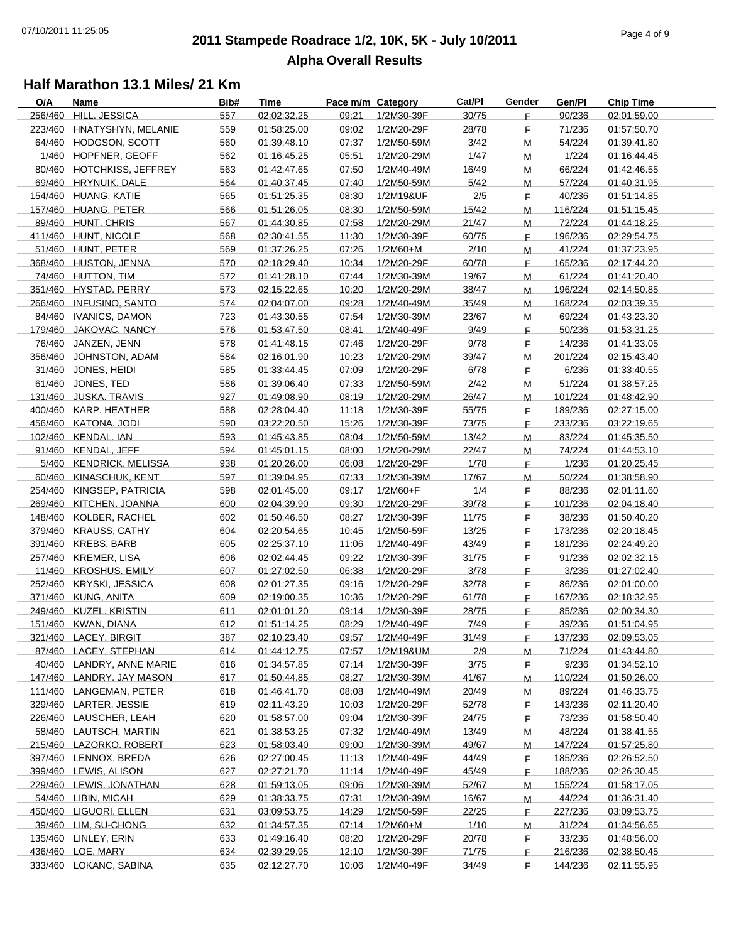# **2011 Stampede Roadrace 1/2, 10K, 5K - July 10/2011** 07/10/2011 11:25:05 Page 4 of 9 **Alpha Overall Results**

| O/A     | Name                       | Bib# | <b>Time</b> | Pace m/m Category |            | Cat/Pl | Gender | Gen/Pl  | <b>Chip Time</b> |
|---------|----------------------------|------|-------------|-------------------|------------|--------|--------|---------|------------------|
| 256/460 | HILL, JESSICA              | 557  | 02:02:32.25 | 09:21             | 1/2M30-39F | 30/75  | F.     | 90/236  | 02:01:59.00      |
|         | 223/460 HNATYSHYN, MELANIE | 559  | 01:58:25.00 | 09:02             | 1/2M20-29F | 28/78  | F.     | 71/236  | 01:57:50.70      |
|         | 64/460 HODGSON, SCOTT      | 560  | 01:39:48.10 | 07:37             | 1/2M50-59M | 3/42   | M      | 54/224  | 01:39:41.80      |
|         | 1/460 HOPFNER, GEOFF       | 562  | 01:16:45.25 | 05:51             | 1/2M20-29M | 1/47   | М      | 1/224   | 01:16:44.45      |
|         | 80/460 HOTCHKISS, JEFFREY  | 563  | 01:42:47.65 | 07:50             | 1/2M40-49M | 16/49  | M      | 66/224  | 01:42:46.55      |
|         | 69/460 HRYNUIK, DALE       | 564  | 01:40:37.45 | 07:40             | 1/2M50-59M | 5/42   | M      | 57/224  | 01:40:31.95      |
|         | 154/460 HUANG, KATIE       | 565  | 01:51:25.35 | 08:30             | 1/2M19&UF  | 2/5    | F.     | 40/236  | 01:51:14.85      |
|         | 157/460 HUANG, PETER       | 566  | 01:51:26.05 | 08:30             | 1/2M50-59M | 15/42  |        | 116/224 |                  |
|         |                            |      |             |                   |            |        | M      |         | 01:51:15.45      |
|         | 89/460 HUNT, CHRIS         | 567  | 01:44:30.85 | 07:58             | 1/2M20-29M | 21/47  | M      | 72/224  | 01:44:18.25      |
|         | 411/460 HUNT, NICOLE       | 568  | 02:30:41.55 | 11:30             | 1/2M30-39F | 60/75  | F.     | 196/236 | 02:29:54.75      |
|         | 51/460 HUNT, PETER         | 569  | 01:37:26.25 | 07:26             | $1/2M60+M$ | 2/10   | M      | 41/224  | 01:37:23.95      |
|         | 368/460 HUSTON, JENNA      | 570  | 02:18:29.40 | 10:34             | 1/2M20-29F | 60/78  | F.     | 165/236 | 02:17:44.20      |
|         | 74/460 HUTTON, TIM         | 572  | 01:41:28.10 | 07:44             | 1/2M30-39M | 19/67  | M      | 61/224  | 01:41:20.40      |
|         | 351/460 HYSTAD, PERRY      | 573  | 02:15:22.65 | 10:20             | 1/2M20-29M | 38/47  | M      | 196/224 | 02:14:50.85      |
|         | 266/460 INFUSINO, SANTO    | 574  | 02:04:07.00 | 09:28             | 1/2M40-49M | 35/49  | M      | 168/224 | 02:03:39.35      |
|         | 84/460 IVANICS, DAMON      | 723  | 01:43:30.55 | 07:54             | 1/2M30-39M | 23/67  | M      | 69/224  | 01:43:23.30      |
|         | 179/460 JAKOVAC, NANCY     | 576  | 01:53:47.50 | 08:41             | 1/2M40-49F | 9/49   | F.     | 50/236  | 01:53:31.25      |
|         | 76/460 JANZEN, JENN        | 578  | 01:41:48.15 | 07:46             | 1/2M20-29F | 9/78   | F.     | 14/236  | 01:41:33.05      |
|         | 356/460 JOHNSTON, ADAM     | 584  | 02:16:01.90 | 10:23             | 1/2M20-29M | 39/47  | M      | 201/224 | 02:15:43.40      |
| 31/460  | JONES, HEIDI               | 585  | 01:33:44.45 | 07:09             | 1/2M20-29F | 6/78   | F.     | 6/236   | 01:33:40.55      |
|         | 61/460 JONES, TED          | 586  | 01:39:06.40 | 07:33             | 1/2M50-59M | 2/42   | M      | 51/224  | 01:38:57.25      |
|         | 131/460 JUSKA, TRAVIS      | 927  | 01:49:08.90 | 08:19             | 1/2M20-29M | 26/47  | M      | 101/224 | 01:48:42.90      |
|         | 400/460 KARP, HEATHER      |      |             |                   |            |        |        |         |                  |
|         |                            | 588  | 02:28:04.40 | 11:18             | 1/2M30-39F | 55/75  | F.     | 189/236 | 02:27:15.00      |
|         | 456/460 KATONA, JODI       | 590  | 03:22:20.50 | 15:26             | 1/2M30-39F | 73/75  | F.     | 233/236 | 03:22:19.65      |
|         | 102/460 KENDAL, IAN        | 593  | 01:45:43.85 | 08:04             | 1/2M50-59M | 13/42  | M      | 83/224  | 01:45:35.50      |
|         | 91/460 KENDAL, JEFF        | 594  | 01:45:01.15 | 08:00             | 1/2M20-29M | 22/47  | м      | 74/224  | 01:44:53.10      |
|         | 5/460 KENDRICK, MELISSA    | 938  | 01:20:26.00 | 06:08             | 1/2M20-29F | 1/78   | F.     | 1/236   | 01:20:25.45      |
| 60/460  | KINASCHUK, KENT            | 597  | 01:39:04.95 | 07:33             | 1/2M30-39M | 17/67  | M      | 50/224  | 01:38:58.90      |
|         | 254/460 KINGSEP, PATRICIA  | 598  | 02:01:45.00 | 09:17             | 1/2M60+F   | 1/4    | F.     | 88/236  | 02:01:11.60      |
|         | 269/460 KITCHEN, JOANNA    | 600  | 02:04:39.90 | 09:30             | 1/2M20-29F | 39/78  | F.     | 101/236 | 02:04:18.40      |
|         | 148/460 KOLBER, RACHEL     | 602  | 01:50:46.50 | 08:27             | 1/2M30-39F | 11/75  | F.     | 38/236  | 01:50:40.20      |
|         | 379/460 KRAUSS, CATHY      | 604  | 02:20:54.65 | 10:45             | 1/2M50-59F | 13/25  | F.     | 173/236 | 02:20:18.45      |
|         | 391/460 KREBS, BARB        | 605  | 02:25:37.10 | 11:06             | 1/2M40-49F | 43/49  | F.     | 181/236 | 02:24:49.20      |
|         | 257/460 KREMER, LISA       | 606  | 02:02:44.45 | 09:22             | 1/2M30-39F | 31/75  | F.     | 91/236  | 02:02:32.15      |
|         | 11/460 KROSHUS, EMILY      | 607  | 01:27:02.50 | 06:38             | 1/2M20-29F | 3/78   | F.     | 3/236   | 01:27:02.40      |
|         | 252/460 KRYSKI, JESSICA    | 608  | 02:01:27.35 | 09:16             | 1/2M20-29F | 32/78  | F.     | 86/236  | 02:01:00.00      |
|         | 371/460 KUNG, ANITA        | 609  | 02:19:00.35 | 10:36             | 1/2M20-29F | 61/78  | F.     | 167/236 | 02:18:32.95      |
|         | 249/460 KUZEL, KRISTIN     | 611  | 02:01:01.20 | 09:14             | 1/2M30-39F | 28/75  | F.     | 85/236  | 02:00:34.30      |
|         | 151/460 KWAN, DIANA        | 612  | 01:51:14.25 | 08:29             | 1/2M40-49F | 7/49   | F.     | 39/236  | 01:51:04.95      |
|         |                            |      |             |                   |            |        |        |         |                  |
|         | 321/460 LACEY, BIRGIT      | 387  | 02:10:23.40 | 09:57             | 1/2M40-49F | 31/49  | F      | 137/236 | 02:09:53.05      |
|         | 87/460 LACEY, STEPHAN      | 614  | 01:44:12.75 | 07:57             | 1/2M19&UM  | 2/9    | M      | 71/224  | 01:43:44.80      |
|         | 40/460 LANDRY, ANNE MARIE  | 616  | 01:34:57.85 | 07:14             | 1/2M30-39F | 3/75   | F.     | 9/236   | 01:34:52.10      |
|         | 147/460 LANDRY, JAY MASON  | 617  | 01:50:44.85 | 08:27             | 1/2M30-39M | 41/67  | M      | 110/224 | 01:50:26.00      |
| 111/460 | LANGEMAN, PETER            | 618  | 01:46:41.70 | 08:08             | 1/2M40-49M | 20/49  | M      | 89/224  | 01:46:33.75      |
|         | 329/460 LARTER, JESSIE     | 619  | 02:11:43.20 | 10:03             | 1/2M20-29F | 52/78  | F.     | 143/236 | 02:11:20.40      |
|         | 226/460 LAUSCHER, LEAH     | 620  | 01:58:57.00 | 09:04             | 1/2M30-39F | 24/75  | F.     | 73/236  | 01:58:50.40      |
|         | 58/460 LAUTSCH, MARTIN     | 621  | 01:38:53.25 | 07:32             | 1/2M40-49M | 13/49  | M      | 48/224  | 01:38:41.55      |
| 215/460 | LAZORKO, ROBERT            | 623  | 01:58:03.40 | 09:00             | 1/2M30-39M | 49/67  | М      | 147/224 | 01:57:25.80      |
|         | 397/460 LENNOX, BREDA      | 626  | 02:27:00.45 | 11:13             | 1/2M40-49F | 44/49  | F.     | 185/236 | 02:26:52.50      |
|         | 399/460 LEWIS, ALISON      | 627  | 02:27:21.70 | 11:14             | 1/2M40-49F | 45/49  | F.     | 188/236 | 02:26:30.45      |
|         | 229/460 LEWIS, JONATHAN    | 628  | 01:59:13.05 | 09:06             | 1/2M30-39M | 52/67  | M      | 155/224 | 01:58:17.05      |
| 54/460  | LIBIN, MICAH               | 629  | 01:38:33.75 | 07:31             | 1/2M30-39M | 16/67  | M      | 44/224  | 01:36:31.40      |
|         | 450/460 LIGUORI, ELLEN     | 631  | 03:09:53.75 | 14:29             | 1/2M50-59F | 22/25  | F.     | 227/236 | 03:09:53.75      |
|         | 39/460 LIM, SU-CHONG       | 632  | 01:34:57.35 | 07:14             | 1/2M60+M   | 1/10   | М      | 31/224  | 01:34:56.65      |
|         | 135/460 LINLEY, ERIN       | 633  | 01:49:16.40 | 08:20             | 1/2M20-29F | 20/78  | F.     | 33/236  | 01:48:56.00      |
|         | 436/460 LOE, MARY          | 634  | 02:39:29.95 | 12:10             | 1/2M30-39F | 71/75  | F.     | 216/236 | 02:38:50.45      |
|         | 333/460 LOKANC, SABINA     | 635  | 02:12:27.70 | 10:06             | 1/2M40-49F | 34/49  | F.     | 144/236 | 02:11:55.95      |
|         |                            |      |             |                   |            |        |        |         |                  |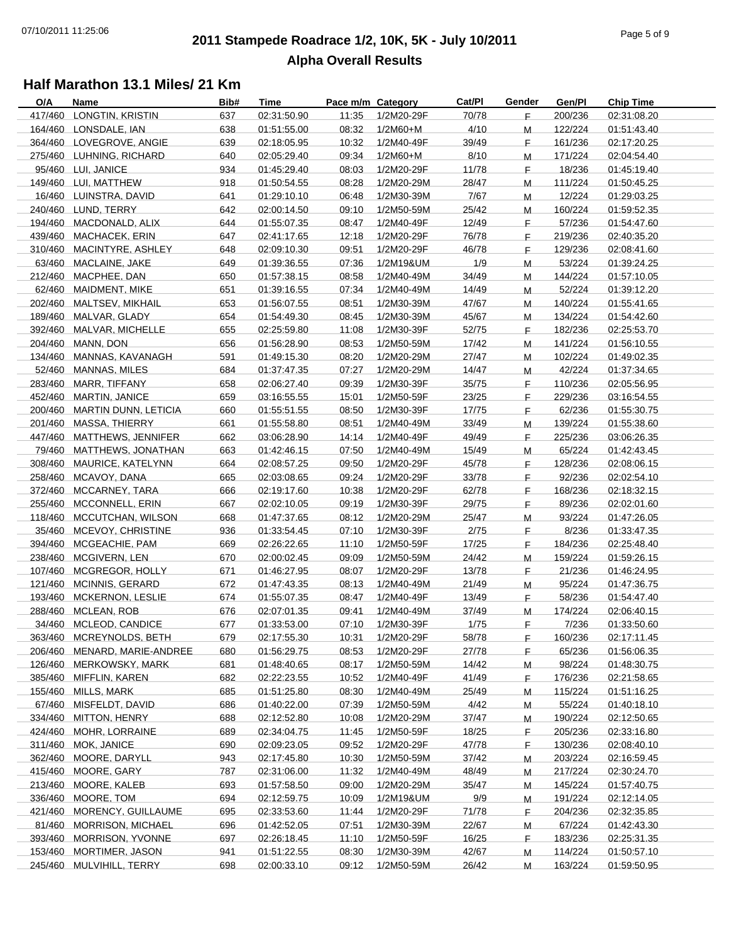# **2011 Stampede Roadrace 1/2, 10K, 5K - July 10/2011** 07/10/2011 11:25:06 Page 5 of 9 **Alpha Overall Results**

| O/A     | Name                                               | Bib# | Time        | Pace m/m Category |            | Cat/Pl | Gender | Gen/Pl           | <b>Chip Time</b> |
|---------|----------------------------------------------------|------|-------------|-------------------|------------|--------|--------|------------------|------------------|
| 417/460 | LONGTIN, KRISTIN                                   | 637  | 02:31:50.90 | 11:35             | 1/2M20-29F | 70/78  | F.     | 200/236          | 02:31:08.20      |
|         | 164/460 LONSDALE, IAN                              | 638  | 01:51:55.00 | 08:32             | 1/2M60+M   | 4/10   | M      | 122/224          | 01:51:43.40      |
|         | 364/460 LOVEGROVE, ANGIE                           | 639  | 02:18:05.95 | 10:32             | 1/2M40-49F | 39/49  | F.     | 161/236          | 02:17:20.25      |
|         | 275/460 LUHNING, RICHARD                           | 640  | 02:05:29.40 | 09:34             | 1/2M60+M   | 8/10   | M      | 171/224          | 02:04:54.40      |
|         | 95/460 LUI, JANICE                                 | 934  | 01:45:29.40 | 08:03             | 1/2M20-29F | 11/78  | F.     | 18/236           | 01:45:19.40      |
|         | 149/460 LUI, MATTHEW                               | 918  | 01:50:54.55 | 08:28             | 1/2M20-29M | 28/47  | M      | 111/224          | 01:50:45.25      |
|         | 16/460 LUINSTRA, DAVID                             | 641  | 01:29:10.10 | 06:48             | 1/2M30-39M | 7/67   | M      | 12/224           | 01:29:03.25      |
|         | 240/460 LUND, TERRY                                | 642  | 02:00:14.50 | 09:10             | 1/2M50-59M | 25/42  | м      | 160/224          | 01:59:52.35      |
|         | 194/460 MACDONALD, ALIX                            | 644  | 01:55:07.35 | 08:47             | 1/2M40-49F | 12/49  | F.     | 57/236           | 01:54:47.60      |
|         | 439/460 MACHACEK, ERIN                             | 647  | 02:41:17.65 | 12:18             | 1/2M20-29F | 76/78  | F.     | 219/236          | 02:40:35.20      |
|         | 310/460 MACINTYRE, ASHLEY                          | 648  | 02:09:10.30 | 09:51             | 1/2M20-29F | 46/78  | F.     | 129/236          | 02:08:41.60      |
|         | 63/460 MACLAINE, JAKE                              | 649  | 01:39:36.55 | 07:36             | 1/2M19&UM  | 1/9    | M      | 53/224           | 01:39:24.25      |
|         | 212/460 MACPHEE, DAN                               | 650  | 01:57:38.15 | 08:58             | 1/2M40-49M | 34/49  | M      | 144/224          | 01:57:10.05      |
|         | 62/460 MAIDMENT, MIKE                              | 651  | 01:39:16.55 | 07:34             | 1/2M40-49M | 14/49  |        | 52/224           | 01:39:12.20      |
|         |                                                    |      |             |                   |            |        | M      |                  |                  |
|         | 202/460 MALTSEV, MIKHAIL                           | 653  | 01:56:07.55 | 08:51             | 1/2M30-39M | 47/67  | M      | 140/224          | 01:55:41.65      |
|         | 189/460 MALVAR, GLADY                              | 654  | 01:54:49.30 | 08:45             | 1/2M30-39M | 45/67  | м      | 134/224          | 01:54:42.60      |
|         | 392/460 MALVAR, MICHELLE                           | 655  | 02:25:59.80 | 11:08             | 1/2M30-39F | 52/75  | F.     | 182/236          | 02:25:53.70      |
|         | 204/460 MANN, DON                                  | 656  | 01:56:28.90 | 08:53             | 1/2M50-59M | 17/42  | M      | 141/224          | 01:56:10.55      |
|         | 134/460 MANNAS, KAVANAGH                           | 591  | 01:49:15.30 | 08:20             | 1/2M20-29M | 27/47  | M      | 102/224          | 01:49:02.35      |
|         | 52/460 MANNAS, MILES                               | 684  | 01:37:47.35 | 07:27             | 1/2M20-29M | 14/47  | M      | 42/224           | 01:37:34.65      |
|         | 283/460 MARR, TIFFANY                              | 658  | 02:06:27.40 | 09:39             | 1/2M30-39F | 35/75  | F.     | 110/236          | 02:05:56.95      |
|         | 452/460 MARTIN, JANICE                             | 659  | 03:16:55.55 | 15:01             | 1/2M50-59F | 23/25  | F.     | 229/236          | 03:16:54.55      |
|         | 200/460 MARTIN DUNN, LETICIA                       | 660  | 01:55:51.55 | 08:50             | 1/2M30-39F | 17/75  | F.     | 62/236           | 01:55:30.75      |
|         | 201/460 MASSA, THIERRY                             | 661  | 01:55:58.80 | 08:51             | 1/2M40-49M | 33/49  | M      | 139/224          | 01:55:38.60      |
|         | 447/460 MATTHEWS, JENNIFER                         | 662  | 03:06:28.90 | 14:14             | 1/2M40-49F | 49/49  | F.     | 225/236          | 03:06:26.35      |
|         | 79/460 MATTHEWS, JONATHAN                          | 663  | 01:42:46.15 | 07:50             | 1/2M40-49M | 15/49  | M      | 65/224           | 01:42:43.45      |
|         | 308/460 MAURICE, KATELYNN                          | 664  | 02:08:57.25 | 09:50             | 1/2M20-29F | 45/78  | F.     | 128/236          | 02:08:06.15      |
|         | 258/460 MCAVOY, DANA                               | 665  | 02:03:08.65 | 09:24             | 1/2M20-29F | 33/78  | F.     | 92/236           | 02:02:54.10      |
|         | 372/460 MCCARNEY, TARA                             | 666  | 02:19:17.60 | 10:38             | 1/2M20-29F | 62/78  | F.     | 168/236          | 02:18:32.15      |
|         | 255/460 MCCONNELL, ERIN                            | 667  | 02:02:10.05 | 09:19             | 1/2M30-39F | 29/75  | F.     | 89/236           | 02:02:01.60      |
|         | 118/460 MCCUTCHAN, WILSON                          | 668  | 01:47:37.65 | 08:12             | 1/2M20-29M | 25/47  | M      | 93/224           | 01:47:26.05      |
|         | 35/460 MCEVOY, CHRISTINE                           | 936  | 01:33:54.45 | 07:10             | 1/2M30-39F | 2/75   | F.     | 8/236            | 01:33:47.35      |
|         | 394/460 MCGEACHIE, PAM                             | 669  | 02:26:22.65 | 11:10             | 1/2M50-59F | 17/25  | F.     | 184/236          | 02:25:48.40      |
|         | 238/460 MCGIVERN, LEN                              | 670  | 02:00:02.45 | 09:09             | 1/2M50-59M | 24/42  | M      | 159/224          | 01:59:26.15      |
|         | 107/460 MCGREGOR, HOLLY                            | 671  | 01:46:27.95 | 08:07             | 1/2M20-29F | 13/78  | F.     | 21/236           | 01:46:24.95      |
|         | 121/460 MCINNIS, GERARD                            | 672  | 01:47:43.35 | 08:13             | 1/2M40-49M | 21/49  | M      | 95/224           | 01:47:36.75      |
|         | 193/460 MCKERNON, LESLIE                           | 674  | 01:55:07.35 | 08:47             | 1/2M40-49F | 13/49  | F.     | 58/236           | 01:54:47.40      |
|         | 288/460 MCLEAN, ROB                                | 676  | 02:07:01.35 | 09:41             | 1/2M40-49M | 37/49  | M      | 174/224          | 02:06:40.15      |
|         |                                                    | 677  | 01:33:53.00 |                   | 1/2M30-39F | 1/75   |        |                  | 01:33:50.60      |
|         | 34/460 MCLEOD, CANDICE<br>363/460 MCREYNOLDS, BETH |      | 02:17:55.30 | 07:10<br>10:31    | 1/2M20-29F |        | F.     | 7/236<br>160/236 |                  |
|         | 206/460 MENARD, MARIE-ANDREE                       | 679  |             |                   |            | 58/78  | F.     |                  | 02:17:11.45      |
|         |                                                    | 680  | 01:56:29.75 | 08:53             | 1/2M20-29F | 27/78  | F.     | 65/236           | 01:56:06.35      |
|         | 126/460 MERKOWSKY, MARK                            | 681  | 01:48:40.65 | 08:17             | 1/2M50-59M | 14/42  | M      | 98/224           | 01:48:30.75      |
|         | 385/460 MIFFLIN, KAREN                             | 682  | 02:22:23.55 | 10:52             | 1/2M40-49F | 41/49  | E.     | 176/236          | 02:21:58.65      |
|         | 155/460 MILLS, MARK                                | 685  | 01:51:25.80 | 08:30             | 1/2M40-49M | 25/49  | M      | 115/224          | 01:51:16.25      |
|         | 67/460 MISFELDT, DAVID                             | 686  | 01:40:22.00 | 07:39             | 1/2M50-59M | 4/42   | M      | 55/224           | 01:40:18.10      |
|         | 334/460 MITTON, HENRY                              | 688  | 02:12:52.80 | 10:08             | 1/2M20-29M | 37/47  | M      | 190/224          | 02:12:50.65      |
|         | 424/460 MOHR, LORRAINE                             | 689  | 02:34:04.75 | 11:45             | 1/2M50-59F | 18/25  | F.     | 205/236          | 02:33:16.80      |
|         | 311/460 MOK, JANICE                                | 690  | 02:09:23.05 | 09:52             | 1/2M20-29F | 47/78  | F.     | 130/236          | 02:08:40.10      |
|         | 362/460 MOORE, DARYLL                              | 943  | 02:17:45.80 | 10:30             | 1/2M50-59M | 37/42  | M      | 203/224          | 02:16:59.45      |
|         | 415/460 MOORE, GARY                                | 787  | 02:31:06.00 | 11:32             | 1/2M40-49M | 48/49  | M      | 217/224          | 02:30:24.70      |
|         | 213/460 MOORE, KALEB                               | 693  | 01:57:58.50 | 09:00             | 1/2M20-29M | 35/47  | M      | 145/224          | 01:57:40.75      |
|         | 336/460 MOORE, TOM                                 | 694  | 02:12:59.75 | 10:09             | 1/2M19&UM  | 9/9    | M      | 191/224          | 02:12:14.05      |
|         | 421/460 MORENCY, GUILLAUME                         | 695  | 02:33:53.60 | 11:44             | 1/2M20-29F | 71/78  | F.     | 204/236          | 02:32:35.85      |
|         | 81/460 MORRISON, MICHAEL                           | 696  | 01:42:52.05 | 07:51             | 1/2M30-39M | 22/67  | M      | 67/224           | 01:42:43.30      |
|         | 393/460 MORRISON, YVONNE                           | 697  | 02:26:18.45 | 11:10             | 1/2M50-59F | 16/25  | F.     | 183/236          | 02:25:31.35      |
|         | 153/460 MORTIMER, JASON                            | 941  | 01:51:22.55 | 08:30             | 1/2M30-39M | 42/67  | M      | 114/224          | 01:50:57.10      |
|         | 245/460 MULVIHILL, TERRY                           | 698  | 02:00:33.10 | 09:12             | 1/2M50-59M | 26/42  | M      | 163/224          | 01:59:50.95      |
|         |                                                    |      |             |                   |            |        |        |                  |                  |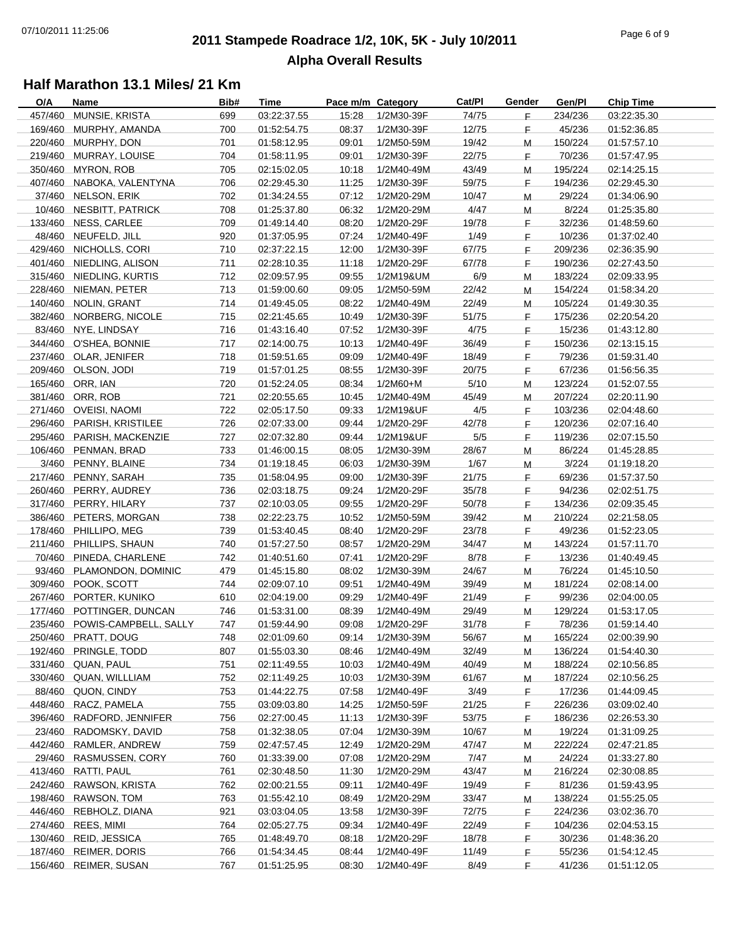# **2011 Stampede Roadrace 1/2, 10K, 5K - July 10/2011** 07/10/2011 11:25:06 Page 6 of 9 **Alpha Overall Results**

| O/A     | Name                          | Bib# | Time        | Pace m/m Category |            | Cat/Pl | Gender | Gen/Pl  | <b>Chip Time</b> |
|---------|-------------------------------|------|-------------|-------------------|------------|--------|--------|---------|------------------|
| 457/460 | MUNSIE, KRISTA                | 699  | 03:22:37.55 | 15:28             | 1/2M30-39F | 74/75  | F.     | 234/236 | 03:22:35.30      |
|         | 169/460 MURPHY, AMANDA        | 700  | 01:52:54.75 | 08:37             | 1/2M30-39F | 12/75  | F.     | 45/236  | 01:52:36.85      |
|         | 220/460 MURPHY, DON           | 701  | 01:58:12.95 | 09:01             | 1/2M50-59M | 19/42  | M      | 150/224 | 01:57:57.10      |
|         | 219/460 MURRAY, LOUISE        | 704  | 01:58:11.95 | 09:01             | 1/2M30-39F | 22/75  | F.     | 70/236  | 01:57:47.95      |
|         | 350/460 MYRON, ROB            | 705  | 02:15:02.05 | 10:18             | 1/2M40-49M | 43/49  | M      | 195/224 | 02:14:25.15      |
|         | 407/460 NABOKA, VALENTYNA     | 706  | 02:29:45.30 | 11:25             | 1/2M30-39F | 59/75  | F.     | 194/236 | 02:29:45.30      |
|         | 37/460 NELSON, ERIK           | 702  | 01:34:24.55 | 07:12             | 1/2M20-29M | 10/47  | M      | 29/224  | 01:34:06.90      |
|         | 10/460 NESBITT, PATRICK       | 708  | 01:25:37.80 | 06:32             | 1/2M20-29M | 4/47   | M      | 8/224   | 01:25:35.80      |
|         | 133/460 NESS, CARLEE          | 709  | 01:49:14.40 | 08:20             | 1/2M20-29F | 19/78  | F.     | 32/236  |                  |
|         |                               |      |             |                   |            |        |        |         | 01:48:59.60      |
|         | 48/460 NEUFELD, JILL          | 920  | 01:37:05.95 | 07:24             | 1/2M40-49F | 1/49   | F.     | 10/236  | 01:37:02.40      |
|         | 429/460 NICHOLLS, CORI        | 710  | 02:37:22.15 | 12:00             | 1/2M30-39F | 67/75  | F.     | 209/236 | 02:36:35.90      |
|         | 401/460 NIEDLING, ALISON      | 711  | 02:28:10.35 | 11:18             | 1/2M20-29F | 67/78  | F.     | 190/236 | 02:27:43.50      |
|         | 315/460 NIEDLING, KURTIS      | 712  | 02:09:57.95 | 09:55             | 1/2M19&UM  | 6/9    | M      | 183/224 | 02:09:33.95      |
|         | 228/460 NIEMAN, PETER         | 713  | 01:59:00.60 | 09:05             | 1/2M50-59M | 22/42  | M      | 154/224 | 01:58:34.20      |
|         | 140/460 NOLIN, GRANT          | 714  | 01:49:45.05 | 08:22             | 1/2M40-49M | 22/49  | M      | 105/224 | 01:49:30.35      |
|         | 382/460 NORBERG, NICOLE       | 715  | 02:21:45.65 | 10:49             | 1/2M30-39F | 51/75  | F.     | 175/236 | 02:20:54.20      |
|         | 83/460 NYE, LINDSAY           | 716  | 01:43:16.40 | 07:52             | 1/2M30-39F | 4/75   | F      | 15/236  | 01:43:12.80      |
|         | 344/460 O'SHEA, BONNIE        | 717  | 02:14:00.75 | 10:13             | 1/2M40-49F | 36/49  | F.     | 150/236 | 02:13:15.15      |
|         | 237/460 OLAR, JENIFER         | 718  | 01:59:51.65 | 09:09             | 1/2M40-49F | 18/49  | F.     | 79/236  | 01:59:31.40      |
|         | 209/460 OLSON, JODI           | 719  | 01:57:01.25 | 08:55             | 1/2M30-39F | 20/75  | F.     | 67/236  | 01:56:56.35      |
|         | 165/460 ORR, IAN              | 720  | 01:52:24.05 | 08:34             | 1/2M60+M   | 5/10   | M      | 123/224 | 01:52:07.55      |
|         | 381/460 ORR, ROB              | 721  | 02:20:55.65 | 10:45             | 1/2M40-49M | 45/49  | M      | 207/224 | 02:20:11.90      |
|         | 271/460 OVEISI, NAOMI         | 722  | 02:05:17.50 | 09:33             | 1/2M19&UF  | 4/5    | F.     | 103/236 | 02:04:48.60      |
|         | 296/460 PARISH, KRISTILEE     | 726  | 02:07:33.00 | 09:44             | 1/2M20-29F | 42/78  | F.     | 120/236 | 02:07:16.40      |
|         | 295/460 PARISH, MACKENZIE     | 727  | 02:07:32.80 | 09:44             | 1/2M19&UF  | $5/5$  | F.     | 119/236 | 02:07:15.50      |
|         |                               |      |             |                   |            |        |        |         |                  |
|         | 106/460 PENMAN, BRAD          | 733  | 01:46:00.15 | 08:05             | 1/2M30-39M | 28/67  | М      | 86/224  | 01:45:28.85      |
|         | 3/460 PENNY, BLAINE           | 734  | 01:19:18.45 | 06:03             | 1/2M30-39M | 1/67   | М      | 3/224   | 01:19:18.20      |
|         | 217/460 PENNY, SARAH          | 735  | 01:58:04.95 | 09:00             | 1/2M30-39F | 21/75  | F.     | 69/236  | 01:57:37.50      |
|         | 260/460 PERRY, AUDREY         | 736  | 02:03:18.75 | 09:24             | 1/2M20-29F | 35/78  | F.     | 94/236  | 02:02:51.75      |
|         | 317/460 PERRY, HILARY         | 737  | 02:10:03.05 | 09:55             | 1/2M20-29F | 50/78  | F.     | 134/236 | 02:09:35.45      |
|         | 386/460 PETERS, MORGAN        | 738  | 02:22:23.75 | 10:52             | 1/2M50-59M | 39/42  | M      | 210/224 | 02:21:58.05      |
|         | 178/460 PHILLIPO, MEG         | 739  | 01:53:40.45 | 08:40             | 1/2M20-29F | 23/78  | F      | 49/236  | 01:52:23.05      |
|         | 211/460 PHILLIPS, SHAUN       | 740  | 01:57:27.50 | 08:57             | 1/2M20-29M | 34/47  | M      | 143/224 | 01:57:11.70      |
|         | 70/460 PINEDA, CHARLENE       | 742  | 01:40:51.60 | 07:41             | 1/2M20-29F | 8/78   | F.     | 13/236  | 01:40:49.45      |
|         | 93/460 PLAMONDON, DOMINIC     | 479  | 01:45:15.80 | 08:02             | 1/2M30-39M | 24/67  | M      | 76/224  | 01:45:10.50      |
|         | 309/460 POOK, SCOTT           | 744  | 02:09:07.10 | 09:51             | 1/2M40-49M | 39/49  | Μ      | 181/224 | 02:08:14.00      |
|         | 267/460 PORTER, KUNIKO        | 610  | 02:04:19.00 | 09:29             | 1/2M40-49F | 21/49  | F.     | 99/236  | 02:04:00.05      |
|         | 177/460 POTTINGER, DUNCAN     | 746  | 01:53:31.00 | 08:39             | 1/2M40-49M | 29/49  | M      | 129/224 | 01:53:17.05      |
|         | 235/460 POWIS-CAMPBELL, SALLY | 747  | 01:59:44.90 | 09:08             | 1/2M20-29F | 31/78  | F.     | 78/236  | 01:59:14.40      |
|         | 250/460 PRATT, DOUG           | 748  | 02:01:09.60 | 09:14             | 1/2M30-39M | 56/67  | M      | 165/224 | 02:00:39.90      |
|         | 192/460 PRINGLE, TODD         | 807  | 01:55:03.30 | 08:46             | 1/2M40-49M | 32/49  | м      | 136/224 | 01:54:40.30      |
|         | 331/460 QUAN, PAUL            | 751  | 02:11:49.55 | 10:03             | 1/2M40-49M | 40/49  | М      | 188/224 | 02:10:56.85      |
|         | 330/460 QUAN, WILLLIAM        | 752  | 02:11:49.25 | 10:03             | 1/2M30-39M | 61/67  | Μ      | 187/224 | 02:10:56.25      |
|         | 88/460 QUON, CINDY            | 753  | 01:44:22.75 | 07:58             | 1/2M40-49F | 3/49   | F.     | 17/236  | 01:44:09.45      |
| 448/460 | RACZ, PAMELA                  | 755  |             |                   |            | 21/25  |        |         |                  |
|         |                               |      | 03:09:03.80 | 14:25             | 1/2M50-59F |        | F.     | 226/236 | 03:09:02.40      |
|         | 396/460 RADFORD, JENNIFER     | 756  | 02:27:00.45 | 11:13             | 1/2M30-39F | 53/75  | F.     | 186/236 | 02:26:53.30      |
| 23/460  | RADOMSKY, DAVID               | 758  | 01:32:38.05 | 07:04             | 1/2M30-39M | 10/67  | M      | 19/224  | 01:31:09.25      |
| 442/460 | RAMLER, ANDREW                | 759  | 02:47:57.45 | 12:49             | 1/2M20-29M | 47/47  | M      | 222/224 | 02:47:21.85      |
| 29/460  | RASMUSSEN, CORY               | 760  | 01:33:39.00 | 07:08             | 1/2M20-29M | 7/47   | M      | 24/224  | 01:33:27.80      |
|         | 413/460 RATTI, PAUL           | 761  | 02:30:48.50 | 11:30             | 1/2M20-29M | 43/47  | М      | 216/224 | 02:30:08.85      |
|         | 242/460 RAWSON, KRISTA        | 762  | 02:00:21.55 | 09:11             | 1/2M40-49F | 19/49  | F.     | 81/236  | 01:59:43.95      |
|         | 198/460 RAWSON, TOM           | 763  | 01:55:42.10 | 08:49             | 1/2M20-29M | 33/47  | M      | 138/224 | 01:55:25.05      |
|         | 446/460 REBHOLZ, DIANA        | 921  | 03:03:04.05 | 13:58             | 1/2M30-39F | 72/75  | F.     | 224/236 | 03:02:36.70      |
|         | 274/460 REES, MIMI            | 764  | 02:05:27.75 | 09:34             | 1/2M40-49F | 22/49  | F.     | 104/236 | 02:04:53.15      |
|         | 130/460 REID, JESSICA         | 765  | 01:48:49.70 | 08:18             | 1/2M20-29F | 18/78  | F.     | 30/236  | 01:48:36.20      |
| 187/460 | <b>REIMER, DORIS</b>          | 766  | 01:54:34.45 | 08:44             | 1/2M40-49F | 11/49  | F.     | 55/236  | 01:54:12.45      |
|         | 156/460 REIMER, SUSAN         | 767  | 01:51:25.95 | 08:30             | 1/2M40-49F | 8/49   | F      | 41/236  | 01:51:12.05      |
|         |                               |      |             |                   |            |        |        |         |                  |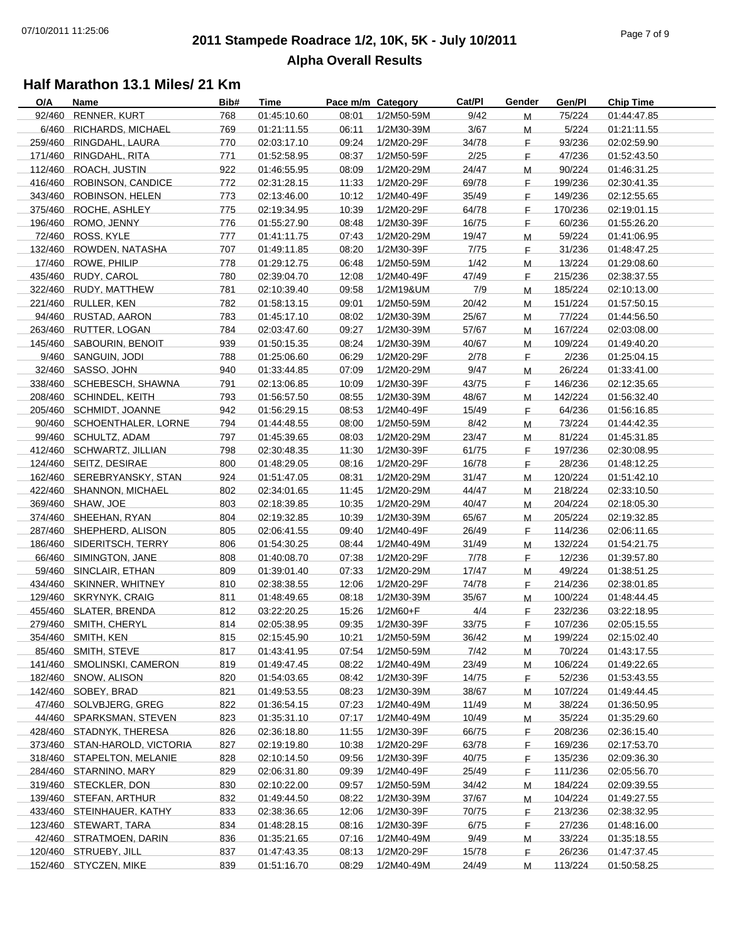# **2011 Stampede Roadrace 1/2, 10K, 5K - July 10/2011** 07/10/2011 11:25:06 Page 7 of 9 **Alpha Overall Results**

| O/A     | Name                          | Bib# | Time        | Pace m/m Category |            | Cat/Pl | Gender | Gen/Pl  | <b>Chip Time</b> |
|---------|-------------------------------|------|-------------|-------------------|------------|--------|--------|---------|------------------|
| 92/460  | <b>RENNER, KURT</b>           | 768  | 01:45:10.60 | 08:01             | 1/2M50-59M | 9/42   | M      | 75/224  | 01:44:47.85      |
|         | 6/460 RICHARDS, MICHAEL       | 769  | 01:21:11.55 | 06:11             | 1/2M30-39M | 3/67   | м      | 5/224   | 01:21:11.55      |
|         | 259/460 RINGDAHL, LAURA       | 770  | 02:03:17.10 | 09:24             | 1/2M20-29F | 34/78  | F.     | 93/236  | 02:02:59.90      |
| 171/460 | RINGDAHL, RITA                | 771  | 01:52:58.95 | 08:37             | 1/2M50-59F | 2/25   | F.     | 47/236  | 01:52:43.50      |
|         | 112/460 ROACH, JUSTIN         | 922  | 01:46:55.95 | 08:09             | 1/2M20-29M | 24/47  | M      | 90/224  | 01:46:31.25      |
|         | 416/460 ROBINSON, CANDICE     | 772  | 02:31:28.15 | 11:33             | 1/2M20-29F | 69/78  | F.     | 199/236 | 02:30:41.35      |
|         | 343/460 ROBINSON, HELEN       | 773  |             | 10:12             |            | 35/49  | F.     |         |                  |
|         |                               |      | 02:13:46.00 |                   | 1/2M40-49F |        |        | 149/236 | 02:12:55.65      |
| 375/460 | ROCHE, ASHLEY                 | 775  | 02:19:34.95 | 10:39             | 1/2M20-29F | 64/78  | F.     | 170/236 | 02:19:01.15      |
|         | 196/460 ROMO, JENNY           | 776  | 01:55:27.90 | 08:48             | 1/2M30-39F | 16/75  | F.     | 60/236  | 01:55:26.20      |
|         | 72/460 ROSS, KYLE             | 777  | 01:41:11.75 | 07:43             | 1/2M20-29M | 19/47  | М      | 59/224  | 01:41:06.95      |
|         | 132/460 ROWDEN, NATASHA       | 707  | 01:49:11.85 | 08:20             | 1/2M30-39F | 7/75   | F.     | 31/236  | 01:48:47.25      |
|         | 17/460 ROWE, PHILIP           | 778  | 01:29:12.75 | 06:48             | 1/2M50-59M | 1/42   | м      | 13/224  | 01:29:08.60      |
|         | 435/460 RUDY, CAROL           | 780  | 02:39:04.70 | 12:08             | 1/2M40-49F | 47/49  | F.     | 215/236 | 02:38:37.55      |
|         | 322/460 RUDY, MATTHEW         | 781  | 02:10:39.40 | 09:58             | 1/2M19&UM  | 7/9    | M      | 185/224 | 02:10:13.00      |
|         | 221/460 RULLER, KEN           | 782  | 01:58:13.15 | 09:01             | 1/2M50-59M | 20/42  | M      | 151/224 | 01:57:50.15      |
|         | 94/460 RUSTAD, AARON          | 783  | 01:45:17.10 | 08:02             | 1/2M30-39M | 25/67  | M      | 77/224  | 01:44:56.50      |
|         | 263/460 RUTTER, LOGAN         | 784  | 02:03:47.60 | 09:27             | 1/2M30-39M | 57/67  | M      | 167/224 | 02:03:08.00      |
|         | 145/460 SABOURIN, BENOIT      | 939  | 01:50:15.35 | 08:24             | 1/2M30-39M | 40/67  | м      | 109/224 | 01:49:40.20      |
|         | 9/460 SANGUIN, JODI           | 788  | 01:25:06.60 | 06:29             | 1/2M20-29F | 2/78   | F.     | 2/236   | 01:25:04.15      |
|         | 32/460 SASSO, JOHN            | 940  | 01:33:44.85 | 07:09             | 1/2M20-29M | 9/47   |        | 26/224  | 01:33:41.00      |
|         |                               |      |             |                   |            |        | M      |         |                  |
|         | 338/460 SCHEBESCH, SHAWNA     | 791  | 02:13:06.85 | 10:09             | 1/2M30-39F | 43/75  | F.     | 146/236 | 02:12:35.65      |
|         | 208/460 SCHINDEL, KEITH       | 793  | 01:56:57.50 | 08:55             | 1/2M30-39M | 48/67  | M      | 142/224 | 01:56:32.40      |
|         | 205/460 SCHMIDT, JOANNE       | 942  | 01:56:29.15 | 08:53             | 1/2M40-49F | 15/49  | F.     | 64/236  | 01:56:16.85      |
|         | 90/460 SCHOENTHALER, LORNE    | 794  | 01:44:48.55 | 08:00             | 1/2M50-59M | 8/42   | м      | 73/224  | 01:44:42.35      |
|         | 99/460 SCHULTZ, ADAM          | 797  | 01:45:39.65 | 08:03             | 1/2M20-29M | 23/47  | м      | 81/224  | 01:45:31.85      |
|         | 412/460 SCHWARTZ, JILLIAN     | 798  | 02:30:48.35 | 11:30             | 1/2M30-39F | 61/75  | F      | 197/236 | 02:30:08.95      |
|         | 124/460 SEITZ, DESIRAE        | 800  | 01:48:29.05 | 08:16             | 1/2M20-29F | 16/78  | F.     | 28/236  | 01:48:12.25      |
|         | 162/460 SEREBRYANSKY, STAN    | 924  | 01:51:47.05 | 08:31             | 1/2M20-29M | 31/47  | М      | 120/224 | 01:51:42.10      |
|         | 422/460 SHANNON, MICHAEL      | 802  | 02:34:01.65 | 11:45             | 1/2M20-29M | 44/47  | M      | 218/224 | 02:33:10.50      |
|         | 369/460 SHAW, JOE             | 803  | 02:18:39.85 | 10:35             | 1/2M20-29M | 40/47  | M      | 204/224 | 02:18:05.30      |
|         | 374/460 SHEEHAN, RYAN         | 804  | 02:19:32.85 | 10:39             | 1/2M30-39M | 65/67  | M      | 205/224 | 02:19:32.85      |
|         | 287/460 SHEPHERD, ALISON      | 805  | 02:06:41.55 | 09:40             | 1/2M40-49F | 26/49  | F.     | 114/236 | 02:06:11.65      |
|         | 186/460 SIDERITSCH, TERRY     | 806  | 01:54:30.25 | 08:44             | 1/2M40-49M | 31/49  | M      | 132/224 | 01:54:21.75      |
|         |                               |      |             |                   |            |        |        |         |                  |
|         | 66/460 SIMINGTON, JANE        | 808  | 01:40:08.70 | 07:38             | 1/2M20-29F | 7/78   | F.     | 12/236  | 01:39:57.80      |
|         | 59/460 SINCLAIR, ETHAN        | 809  | 01:39:01.40 | 07:33             | 1/2M20-29M | 17/47  | M      | 49/224  | 01:38:51.25      |
|         | 434/460 SKINNER, WHITNEY      | 810  | 02:38:38.55 | 12:06             | 1/2M20-29F | 74/78  | F      | 214/236 | 02:38:01.85      |
|         | 129/460 SKRYNYK, CRAIG        | 811  | 01:48:49.65 | 08:18             | 1/2M30-39M | 35/67  | M      | 100/224 | 01:48:44.45      |
|         | 455/460 SLATER, BRENDA        | 812  | 03:22:20.25 | 15:26             | $1/2M60+F$ | 4/4    | F.     | 232/236 | 03:22:18.95      |
|         | 279/460 SMITH, CHERYL         | 814  | 02:05:38.95 | 09:35             | 1/2M30-39F | 33/75  | F.     | 107/236 | 02:05:15.55      |
|         | 354/460 SMITH, KEN            | 815  | 02:15:45.90 | 10:21             | 1/2M50-59M | 36/42  | M      | 199/224 | 02:15:02.40      |
|         | 85/460 SMITH, STEVE           | 817  | 01:43:41.95 | 07:54             | 1/2M50-59M | 7/42   | м      | 70/224  | 01:43:17.55      |
|         | 141/460 SMOLINSKI, CAMERON    | 819  | 01:49:47.45 | 08:22             | 1/2M40-49M | 23/49  | M      | 106/224 | 01:49:22.65      |
|         | 182/460 SNOW, ALISON          | 820  | 01:54:03.65 | 08:42             | 1/2M30-39F | 14/75  | F      | 52/236  | 01:53:43.55      |
|         | 142/460 SOBEY, BRAD           | 821  | 01:49:53.55 | 08:23             | 1/2M30-39M | 38/67  | Μ      | 107/224 | 01:49:44.45      |
|         | 47/460 SOLVBJERG, GREG        | 822  | 01:36:54.15 | 07:23             | 1/2M40-49M | 11/49  | M      | 38/224  | 01:36:50.95      |
|         | 44/460 SPARKSMAN, STEVEN      | 823  | 01:35:31.10 | 07:17             | 1/2M40-49M | 10/49  | M      | 35/224  | 01:35:29.60      |
|         | 428/460 STADNYK, THERESA      | 826  | 02:36:18.80 | 11:55             | 1/2M30-39F | 66/75  | F      | 208/236 | 02:36:15.40      |
|         |                               |      |             |                   |            |        |        |         |                  |
|         | 373/460 STAN-HAROLD, VICTORIA | 827  | 02:19:19.80 | 10:38             | 1/2M20-29F | 63/78  | F.     | 169/236 | 02:17:53.70      |
|         | 318/460 STAPELTON, MELANIE    | 828  | 02:10:14.50 | 09:56             | 1/2M30-39F | 40/75  | F.     | 135/236 | 02:09:36.30      |
|         | 284/460 STARNINO, MARY        | 829  | 02:06:31.80 | 09:39             | 1/2M40-49F | 25/49  | F.     | 111/236 | 02:05:56.70      |
|         | 319/460 STECKLER, DON         | 830  | 02:10:22.00 | 09:57             | 1/2M50-59M | 34/42  | M      | 184/224 | 02:09:39.55      |
|         | 139/460 STEFAN, ARTHUR        | 832  | 01:49:44.50 | 08:22             | 1/2M30-39M | 37/67  | Μ      | 104/224 | 01:49:27.55      |
|         | 433/460 STEINHAUER, KATHY     | 833  | 02:38:36.65 | 12:06             | 1/2M30-39F | 70/75  | F.     | 213/236 | 02:38:32.95      |
|         | 123/460 STEWART, TARA         | 834  | 01:48:28.15 | 08:16             | 1/2M30-39F | 6/75   | F.     | 27/236  | 01:48:16.00      |
|         | 42/460 STRATMOEN, DARIN       | 836  | 01:35:21.65 | 07:16             | 1/2M40-49M | 9/49   | M      | 33/224  | 01:35:18.55      |
|         | 120/460 STRUEBY, JILL         | 837  | 01:47:43.35 | 08:13             | 1/2M20-29F | 15/78  | F.     | 26/236  | 01:47:37.45      |
|         | 152/460 STYCZEN, MIKE         | 839  | 01:51:16.70 | 08:29             | 1/2M40-49M | 24/49  | М      | 113/224 | 01:50:58.25      |
|         |                               |      |             |                   |            |        |        |         |                  |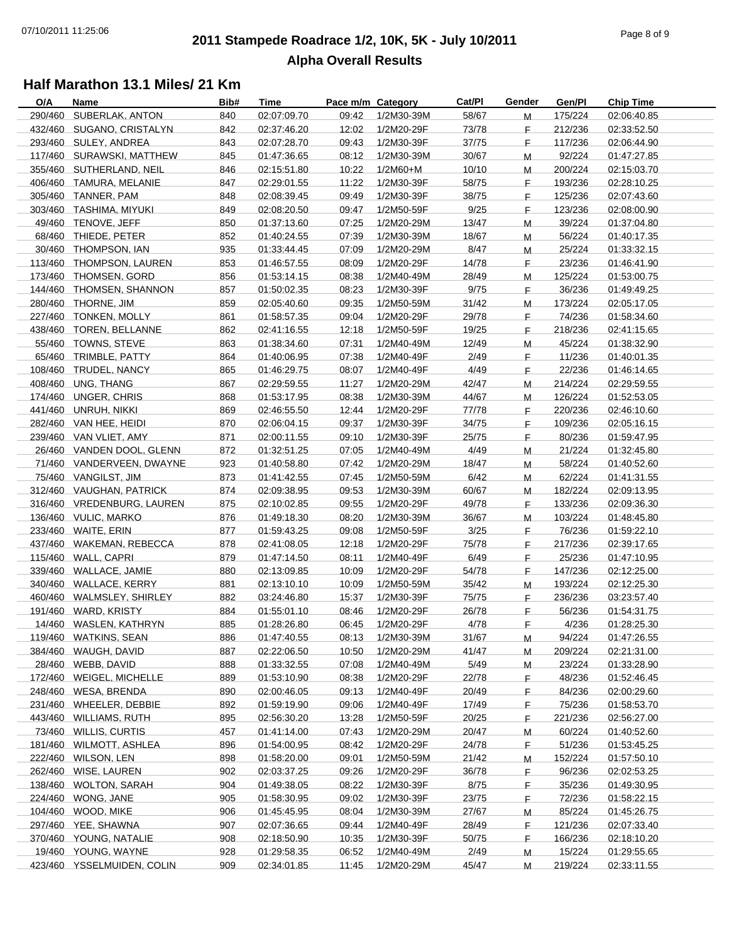# **2011 Stampede Roadrace 1/2, 10K, 5K - July 10/2011** 07/10/2011 11:25:06 Page 8 of 9 **Alpha Overall Results**

| O/A     | Name                       | Bib# | Time        | Pace m/m Category |            | Cat/Pl | Gender | Gen/Pl  | <b>Chip Time</b> |
|---------|----------------------------|------|-------------|-------------------|------------|--------|--------|---------|------------------|
|         | 290/460 SUBERLAK, ANTON    | 840  | 02:07:09.70 | 09:42             | 1/2M30-39M | 58/67  | M      | 175/224 | 02:06:40.85      |
|         | 432/460 SUGANO, CRISTALYN  | 842  | 02:37:46.20 | 12:02             | 1/2M20-29F | 73/78  | F.     | 212/236 | 02:33:52.50      |
|         | 293/460 SULEY, ANDREA      | 843  | 02:07:28.70 | 09:43             | 1/2M30-39F | 37/75  | F.     | 117/236 | 02:06:44.90      |
|         | 117/460 SURAWSKI, MATTHEW  | 845  | 01:47:36.65 | 08:12             | 1/2M30-39M | 30/67  | M      | 92/224  | 01:47:27.85      |
|         | 355/460 SUTHERLAND, NEIL   | 846  | 02:15:51.80 | 10:22             | 1/2M60+M   | 10/10  | M      | 200/224 | 02:15:03.70      |
|         | 406/460 TAMURA, MELANIE    | 847  | 02:29:01.55 | 11:22             | 1/2M30-39F | 58/75  | E      | 193/236 | 02:28:10.25      |
|         | 305/460 TANNER, PAM        | 848  | 02:08:39.45 | 09:49             | 1/2M30-39F | 38/75  | F.     | 125/236 | 02:07:43.60      |
|         | 303/460 TASHIMA, MIYUKI    | 849  | 02:08:20.50 | 09:47             | 1/2M50-59F | 9/25   |        | 123/236 | 02:08:00.90      |
|         |                            |      |             |                   |            |        | F.     |         |                  |
|         | 49/460 TENOVE, JEFF        | 850  | 01:37:13.60 | 07:25             | 1/2M20-29M | 13/47  | M      | 39/224  | 01:37:04.80      |
|         | 68/460 THIEDE, PETER       | 852  | 01:40:24.55 | 07:39             | 1/2M30-39M | 18/67  | м      | 56/224  | 01:40:17.35      |
|         | 30/460 THOMPSON, IAN       | 935  | 01:33:44.45 | 07:09             | 1/2M20-29M | 8/47   | м      | 25/224  | 01:33:32.15      |
|         | 113/460 THOMPSON, LAUREN   | 853  | 01:46:57.55 | 08:09             | 1/2M20-29F | 14/78  | F      | 23/236  | 01:46:41.90      |
|         | 173/460 THOMSEN, GORD      | 856  | 01:53:14.15 | 08:38             | 1/2M40-49M | 28/49  | M      | 125/224 | 01:53:00.75      |
|         | 144/460 THOMSEN, SHANNON   | 857  | 01:50:02.35 | 08:23             | 1/2M30-39F | 9/75   | E      | 36/236  | 01:49:49.25      |
|         | 280/460 THORNE, JIM        | 859  | 02:05:40.60 | 09:35             | 1/2M50-59M | 31/42  | M      | 173/224 | 02:05:17.05      |
|         | 227/460 TONKEN, MOLLY      | 861  | 01:58:57.35 | 09:04             | 1/2M20-29F | 29/78  | F.     | 74/236  | 01:58:34.60      |
|         | 438/460 TOREN, BELLANNE    | 862  | 02:41:16.55 | 12:18             | 1/2M50-59F | 19/25  | F      | 218/236 | 02:41:15.65      |
|         | 55/460 TOWNS, STEVE        | 863  | 01:38:34.60 | 07:31             | 1/2M40-49M | 12/49  | м      | 45/224  | 01:38:32.90      |
|         | 65/460 TRIMBLE, PATTY      | 864  | 01:40:06.95 | 07:38             | 1/2M40-49F | 2/49   | F.     | 11/236  | 01:40:01.35      |
|         | 108/460 TRUDEL, NANCY      | 865  | 01:46:29.75 | 08:07             | 1/2M40-49F | 4/49   | F      | 22/236  | 01:46:14.65      |
|         | 408/460 UNG, THANG         | 867  | 02:29:59.55 | 11:27             | 1/2M20-29M | 42/47  | M      | 214/224 | 02:29:59.55      |
|         | 174/460 UNGER, CHRIS       | 868  | 01:53:17.95 | 08:38             | 1/2M30-39M | 44/67  | M      | 126/224 | 01:52:53.05      |
|         | 441/460 UNRUH, NIKKI       | 869  |             | 12:44             |            | 77/78  |        |         |                  |
|         |                            |      | 02:46:55.50 |                   | 1/2M20-29F |        | F.     | 220/236 | 02:46:10.60      |
|         | 282/460 VAN HEE, HEIDI     | 870  | 02:06:04.15 | 09:37             | 1/2M30-39F | 34/75  | F.     | 109/236 | 02:05:16.15      |
|         | 239/460 VAN VLIET, AMY     | 871  | 02:00:11.55 | 09:10             | 1/2M30-39F | 25/75  | F.     | 80/236  | 01:59:47.95      |
|         | 26/460 VANDEN DOOL, GLENN  | 872  | 01:32:51.25 | 07:05             | 1/2M40-49M | 4/49   | м      | 21/224  | 01:32:45.80      |
|         | 71/460 VANDERVEEN, DWAYNE  | 923  | 01:40:58.80 | 07:42             | 1/2M20-29M | 18/47  | м      | 58/224  | 01:40:52.60      |
|         | 75/460 VANGILST, JIM       | 873  | 01:41:42.55 | 07:45             | 1/2M50-59M | 6/42   | M      | 62/224  | 01:41:31.55      |
|         | 312/460 VAUGHAN, PATRICK   | 874  | 02:09:38.95 | 09:53             | 1/2M30-39M | 60/67  | M      | 182/224 | 02:09:13.95      |
|         | 316/460 VREDENBURG, LAUREN | 875  | 02:10:02.85 | 09:55             | 1/2M20-29F | 49/78  | E      | 133/236 | 02:09:36.30      |
|         | 136/460 VULIC, MARKO       | 876  | 01:49:18.30 | 08:20             | 1/2M30-39M | 36/67  | M      | 103/224 | 01:48:45.80      |
|         | 233/460 WAITE, ERIN        | 877  | 01:59:43.25 | 09:08             | 1/2M50-59F | 3/25   | F.     | 76/236  | 01:59:22.10      |
|         | 437/460 WAKEMAN, REBECCA   | 878  | 02:41:08.05 | 12:18             | 1/2M20-29F | 75/78  | E      | 217/236 | 02:39:17.65      |
|         | 115/460 WALL, CAPRI        | 879  | 01:47:14.50 | 08:11             | 1/2M40-49F | 6/49   | F.     | 25/236  | 01:47:10.95      |
|         | 339/460 WALLACE, JAMIE     | 880  | 02:13:09.85 | 10:09             | 1/2M20-29F | 54/78  | F.     | 147/236 | 02:12:25.00      |
|         | 340/460 WALLACE, KERRY     | 881  | 02:13:10.10 | 10:09             | 1/2M50-59M | 35/42  | M      | 193/224 | 02:12:25.30      |
|         | 460/460 WALMSLEY, SHIRLEY  | 882  | 03:24:46.80 | 15:37             | 1/2M30-39F | 75/75  | E      | 236/236 | 03:23:57.40      |
|         | 191/460 WARD, KRISTY       | 884  | 01:55:01.10 | 08:46             | 1/2M20-29F | 26/78  | E      | 56/236  | 01:54:31.75      |
|         | 14/460 WASLEN, KATHRYN     | 885  | 01:28:26.80 | 06:45             | 1/2M20-29F | 4/78   | F.     | 4/236   | 01:28:25.30      |
|         |                            |      |             |                   |            |        |        |         |                  |
|         | 119/460 WATKINS, SEAN      | 886  | 01:47:40.55 | 08:13             | 1/2M30-39M | 31/67  | M      | 94/224  | 01:47:26.55      |
|         | 384/460 WAUGH, DAVID       | 887  | 02:22:06.50 | 10:50             | 1/2M20-29M | 41/47  | M      | 209/224 | 02:21:31.00      |
|         | 28/460 WEBB, DAVID         | 888  | 01:33:32.55 | 07:08             | 1/2M40-49M | 5/49   | M      | 23/224  | 01:33:28.90      |
|         | 172/460 WEIGEL, MICHELLE   | 889  | 01:53:10.90 | 08:38             | 1/2M20-29F | 22/78  | F      | 48/236  | 01:52:46.45      |
|         | 248/460 WESA, BRENDA       | 890  | 02:00:46.05 | 09:13             | 1/2M40-49F | 20/49  | F      | 84/236  | 02:00:29.60      |
|         | 231/460 WHEELER, DEBBIE    | 892  | 01:59:19.90 | 09:06             | 1/2M40-49F | 17/49  | F      | 75/236  | 01:58:53.70      |
|         | 443/460 WILLIAMS, RUTH     | 895  | 02:56:30.20 | 13:28             | 1/2M50-59F | 20/25  | F.     | 221/236 | 02:56:27.00      |
|         | 73/460 WILLIS, CURTIS      | 457  | 01:41:14.00 | 07:43             | 1/2M20-29M | 20/47  | M      | 60/224  | 01:40:52.60      |
| 181/460 | <b>WILMOTT, ASHLEA</b>     | 896  | 01:54:00.95 | 08:42             | 1/2M20-29F | 24/78  | F      | 51/236  | 01:53:45.25      |
|         | 222/460 WILSON, LEN        | 898  | 01:58:20.00 | 09:01             | 1/2M50-59M | 21/42  | М      | 152/224 | 01:57:50.10      |
|         | 262/460 WISE, LAUREN       | 902  | 02:03:37.25 | 09:26             | 1/2M20-29F | 36/78  | F      | 96/236  | 02:02:53.25      |
|         | 138/460 WOLTON, SARAH      | 904  | 01:49:38.05 | 08:22             | 1/2M30-39F | 8/75   | F      | 35/236  | 01:49:30.95      |
|         | 224/460 WONG, JANE         | 905  | 01:58:30.95 | 09:02             | 1/2M30-39F | 23/75  | F      | 72/236  | 01:58:22.15      |
|         | 104/460 WOOD, MIKE         | 906  | 01:45:45.95 | 08:04             | 1/2M30-39M | 27/67  | M      | 85/224  | 01:45:26.75      |
|         | 297/460 YEE, SHAWNA        | 907  | 02:07:36.65 | 09:44             | 1/2M40-49F | 28/49  | F.     | 121/236 | 02:07:33.40      |
|         | 370/460 YOUNG, NATALIE     | 908  | 02:18:50.90 | 10:35             | 1/2M30-39F | 50/75  | F.     | 166/236 | 02:18:10.20      |
|         | 19/460 YOUNG, WAYNE        | 928  | 01:29:58.35 | 06:52             | 1/2M40-49M | 2/49   |        | 15/224  | 01:29:55.65      |
|         |                            |      |             |                   |            |        | M      |         |                  |
|         | 423/460 YSSELMUIDEN, COLIN | 909  | 02:34:01.85 | 11:45             | 1/2M20-29M | 45/47  | M      | 219/224 | 02:33:11.55      |